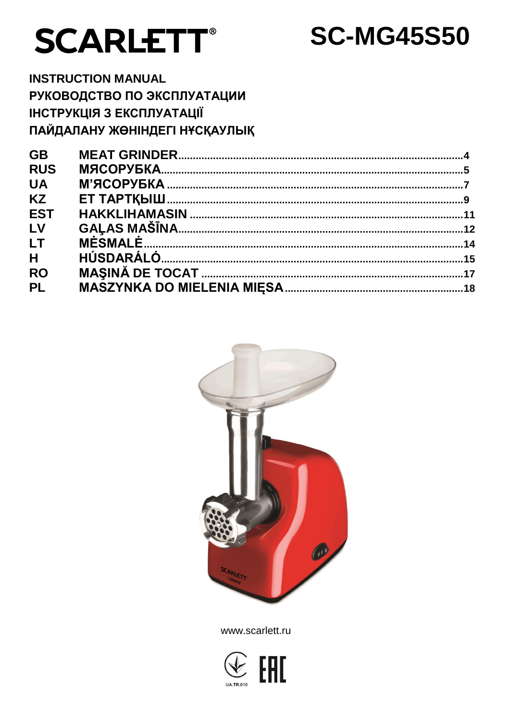# **SCARLETT®**

# **SC-MG45S50**

**INSTRUCTION MANUAL** РУКОВОДСТВО ПО ЭКСПЛУАТАЦИИ **ІНСТРУКЦІЯ З ЕКСПЛУАТАЦІЇ** ПАЙДАЛАНУ ЖӨНІНДЕГІ НҰСҚАУЛЫҚ

| <b>GB</b>      |  |
|----------------|--|
| <b>RUS</b>     |  |
| <b>UA</b>      |  |
| <b>KZ</b>      |  |
| <b>EST</b>     |  |
| LV             |  |
| LT.            |  |
| H <sub>a</sub> |  |
| <b>RO</b>      |  |
| <b>PL</b>      |  |
|                |  |



www.scarlett.ru

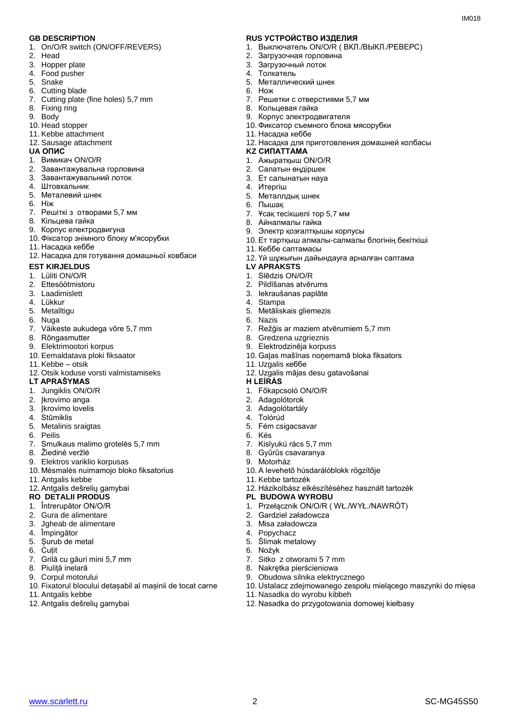- 1. On/O/R switch (ON/OFF/REVERS)
- 2. Head
- 3. Hopper plate
- 4. Food pusher
- 5. Snake
- 6. Cutting blade
- 7. Cutting plate (fine holes) 5,7 mm
- 8. Fixing ring
- 9. Body
- 10. Head stopper
- 11. Kebbe attachment
- 12. Sausage attachment
- 
- 1. Вимикач ON/O/R
- 2. Завантажувальна горловина
- 3. Завантажувальний лоток
- 4. Штовхальник
- 5. Металевий шнек
- 6. Ніж
- 7. Решіткi з отворами 5,7 мм
- 8. Кільцева гайка
- 9. Корпус електродвигуна
- 10. Фіксатор знімного блоку м'ясорубки
- 11. Насадка кеббе
- 12. Насадка для готування домашньої ковбаси
- **EST KIRJELDUS**
- 1. Lüliti ON/O/R
- 2. Ettesöötmistoru
- 3. Laadimislett
- 4. Lükkur
- 5. Metalltigu
- 6. Nuga
- 7. Väikeste aukudega võre 5,7 mm
- 8. Rõngasmutter
- 9. Elektrimootori korpus
- 10. Eemaldatava ploki fiksaator
- 11. Kebbe otsik
- 12. Otsik koduse vorsti valmistamiseks
- **LT APRAŠYMAS H LEÍRÁS**
- 1. Jungiklis ON/O/R
- 2. Įkrovimo anga
- 3. Įkrovimo lovelis
- 4. Stūmiklis
- 5. Metalinis sraigtas
- 6. Peilis
- 7. Smulkaus malimo grotelės 5,7 mm
- 8. Žiedinė veržlė
- 9. Elektros variklio korpusas
- 10. Mėsmalės nuimamojo bloko fiksatorius
- 11. Antgalis kebbe
- 12. Antgalis dešrelių gamybai
- **RO DETALII PRODUS PL BUDOWA WYROBU**
- 1. Întrerupător ON/O/R
- 2. Gura de alimentare
- 3. Jgheab de alimentare
- 4. Împingător
- 5. Șurub de metal
- 6. Cuțit
- 7. Grilă cu găuri mini 5,7 mm
- 8. Piuliță inelară
- 9. Corpul motorului
- 10. Fixatorul blocului detașabil al mașinii de tocat carne
- 11. Antgalis kebbe
- 12. Antgalis dešrelių gamybai

#### **GB DESCRIPTION RUS УСТРОЙСТВО ИЗДЕЛИЯ**

1. Выключатель ON/O/R ( ВКЛ./ВЫКЛ./РЕВЕРС)

 $IMAO1R$ 

- 2. Загрузочная горловина
- 3. Загрузочный лоток
- 4. Толкатель
- 5. Металлический шнек
- 6. Нож
- 7. Решетки с отверстиями 5,7 мм
- 8. Кольцевая гайка
- 9. Корпус электродвигателя
- 10. Фиксатор съемного блока мясорубки
- 11. Насадка кеббе
- 12. Насадка для приготовления домашней колбасы
- **UA ОПИС KZ СИПАТТАМА**
	- 1. Ажыратқыш ON/O/R
	- 2. Салатын өңдіршек
	- 3. Ет салынатын науа
	- 4. Итергіш
	- 5. Металлдық шнек
	- 6. Пышақ
	- 7. Ұсақ тесікшелі тор 5,7 мм
	- 8. Айналмалы гайка
	- 9. Электр қозғалтқышы корпусы
	- 10. Ет тартқыш алмалы-салмалы блогінің бекіткіші
	- 11. Кеббе саптамасы
	- 12. Үй шұжығын дайындауға арналған саптама<br>LV APRAKSTS
	-
	- 1. Slēdzis ON/O/R
	- 2. Pildīšanas atvērums
	- 3. Iekraušanas paplāte
	- 4. Stampa
	- 5. Metāliskais gliemezis
	- 6. Nazis

www.scarlett.ru 2 SC-MG45S50

7. Režģis ar maziem atvērumiem 5,7 mm

12. Uzgalis mājas desu gatavošanai

10. A levehető húsdarálóblokk rögzítője

12. Házikolbász elkészítéséhez használt tartozék

1. Przełącznik ON/O/R ( WŁ./WYŁ./NAWRÓT)

12. Nasadka do przygotowania domowej kiełbasy

10. Ustalacz zdejmowanego zespołu mielącego maszynki do mięsa

10. Gaļas mašīnas noņemamā bloka fiksators

8. Gredzena uzgrieznis 9. Elektrodzinēja korpuss

1. Főkapcsoló ON/O/R 2. Adagolótorok 3. Adagolótartály 4. Tolórúd

5. Fém csigacsavar

11. Kebbe tartozék

7. Kislyukú rács 5,7 mm 8. Gyűrűs csavaranya

2. Gardziel załadowcza 3. Misa załadowcza 4. Popychacz 5. Ślimak metalowy

7. Sitko z otworami 5 7 mm 8. Nakrętka pierścieniowa 9. Obudowa silnika elektrycznego

11. Nasadka do wyrobu kibbeh

6. Kés

9. Motorház

6. Nożyk

11. Uzgalis кеббе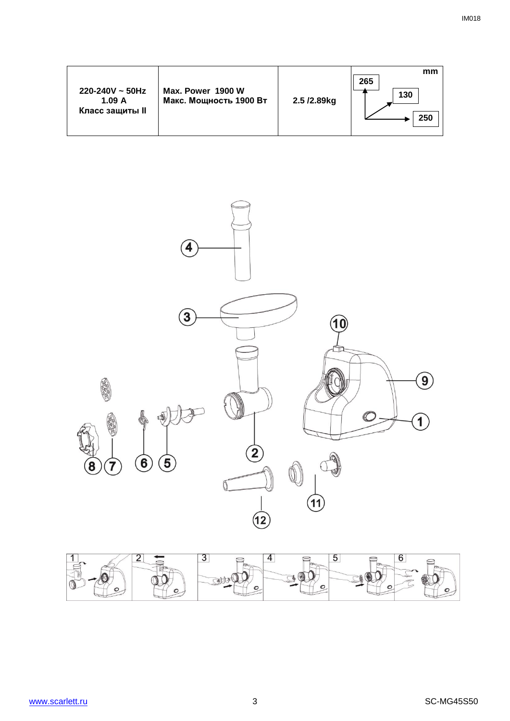|                                                    |                                             |             | mm<br>265  |
|----------------------------------------------------|---------------------------------------------|-------------|------------|
| $220 - 240V \sim 50Hz$<br>1.09A<br>Класс защиты II | Max. Power 1900 W<br>Макс. Мощность 1900 Вт | 2.5 /2.89kg | 130<br>250 |



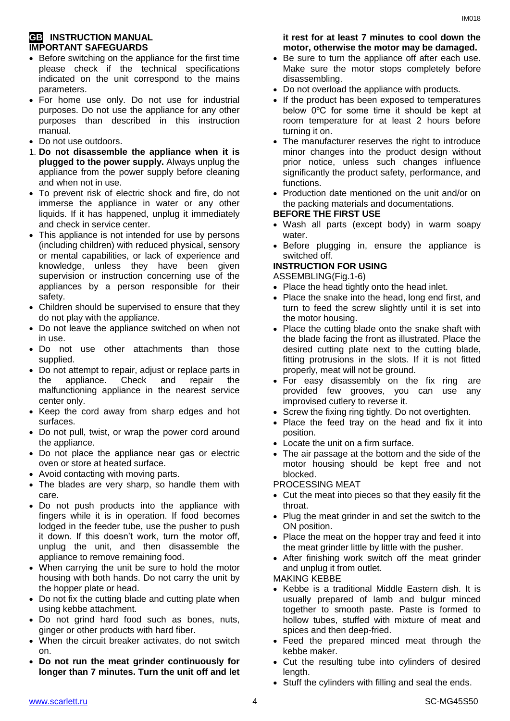#### **GB INSTRUCTION MANUAL IMPORTANT SAFEGUARDS**

- Before switching on the appliance for the first time please check if the technical specifications indicated on the unit correspond to the mains parameters.
- For home use only. Do not use for industrial purposes. Do not use the appliance for any other purposes than described in this instruction manual.
- Do not use outdoors.
- 1. **Do not disassemble the appliance when it is plugged to the power supply.** Always unplug the appliance from the power supply before cleaning and when not in use.
- To prevent risk of electric shock and fire, do not immerse the appliance in water or any other liquids. If it has happened, unplug it immediately and check in service center.
- This appliance is not intended for use by persons (including children) with reduced physical, sensory or mental capabilities, or lack of experience and knowledge, unless they have been given supervision or instruction concerning use of the appliances by a person responsible for their safety.
- Children should be supervised to ensure that they do not play with the appliance.
- Do not leave the appliance switched on when not in use.
- Do not use other attachments than those supplied.
- Do not attempt to repair, adjust or replace parts in the appliance. Check and repair the malfunctioning appliance in the nearest service center only.
- Keep the cord away from sharp edges and hot surfaces.
- Do not pull, twist, or wrap the power cord around the appliance.
- Do not place the appliance near gas or electric oven or store at heated surface.
- Avoid contacting with moving parts.
- The blades are very sharp, so handle them with care.
- Do not push products into the appliance with fingers while it is in operation. If food becomes lodged in the feeder tube, use the pusher to push it down. If this doesn't work, turn the motor off, unplug the unit, and then disassemble the appliance to remove remaining food.
- When carrying the unit be sure to hold the motor housing with both hands. Do not carry the unit by the hopper plate or head.
- Do not fix the cutting blade and cutting plate when using kebbe attachment.
- Do not grind hard food such as bones, nuts, ginger or other products with hard fiber.
- When the circuit breaker activates, do not switch on.
- **Do not run the meat grinder continuously for longer than 7 minutes. Turn the unit off and let**

#### **it rest for at least 7 minutes to cool down the motor, otherwise the motor may be damaged.**

- Be sure to turn the appliance off after each use. Make sure the motor stops completely before disassembling.
- Do not overload the appliance with products.
- If the product has been exposed to temperatures below 0ºC for some time it should be kept at room temperature for at least 2 hours before turning it on.
- The manufacturer reserves the right to introduce minor changes into the product design without prior notice, unless such changes influence significantly the product safety, performance, and functions.
- Production date mentioned on the unit and/or on the packing materials and documentations.

#### **BEFORE THE FIRST USE**

- Wash all parts (except body) in warm soapy water.
- Before plugging in, ensure the appliance is switched off.

# **INSTRUCTION FOR USING**

ASSEMBLING(Fig.1-6)

- Place the head tightly onto the head inlet.
- Place the snake into the head, long end first, and turn to feed the screw slightly until it is set into the motor housing.
- Place the cutting blade onto the snake shaft with the blade facing the front as illustrated. Place the desired cutting plate next to the cutting blade, fitting protrusions in the slots. If it is not fitted properly, meat will not be ground.
- For easy disassembly on the fix ring are provided few grooves, you can use any improvised cutlery to reverse it.
- Screw the fixing ring tightly. Do not overtighten.
- Place the feed tray on the head and fix it into position.
- Locate the unit on a firm surface.
- The air passage at the bottom and the side of the motor housing should be kept free and not blocked.

PROCESSING MEAT

- Cut the meat into pieces so that they easily fit the throat.
- Plug the meat grinder in and set the switch to the ON position.
- Place the meat on the hopper tray and feed it into the meat grinder little by little with the pusher.
- After finishing work switch off the meat grinder and unplug it from outlet.

MAKING KEBBE

- Kebbe is a traditional Middle Eastern dish. It is usually prepared of lamb and bulgur minced together to smooth paste. Paste is formed to hollow tubes, stuffed with mixture of meat and spices and then deep-fried.
- Feed the prepared minced meat through the kebbe maker.
- Cut the resulting tube into cylinders of desired length.
- Stuff the cylinders with filling and seal the ends.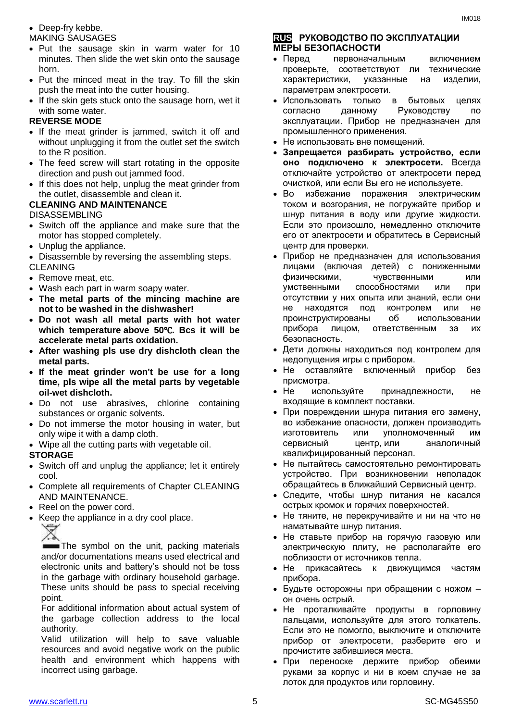#### • Deep-fry kebbe.

#### MAKING SAUSAGES

- Put the sausage skin in warm water for 10 minutes. Then slide the wet skin onto the sausage horn.
- Put the minced meat in the tray. To fill the skin push the meat into the cutter housing.
- If the skin gets stuck onto the sausage horn, wet it with some water.

#### **REVERSE MODE**

- If the meat grinder is jammed, switch it off and without unplugging it from the outlet set the switch to the R position.
- The feed screw will start rotating in the opposite direction and push out jammed food.
- If this does not help, unplug the meat grinder from the outlet, disassemble and clean it.

#### **CLEANING AND MAINTENANCE**

DISASSEMBLING

- Switch off the appliance and make sure that the motor has stopped completely.
- Unplug the appliance.
- Disassemble by reversing the assembling steps.

#### CLEANING

- Remove meat, etc.
- Wash each part in warm soapy water.
- **The metal parts of the mincing machine are not to be washed in the dishwasher!**
- **Do not wash all metal parts with hot water which temperature above 50**℃**. Bcs it will be accelerate metal parts oxidation.**
- **After washing pls use dry dishcloth clean the metal parts.**
- **If the meat grinder won't be use for a long time, pls wipe all the metal parts by vegetable oil-wet dishcloth.**
- Do not use abrasives, chlorine containing substances or organic solvents.
- Do not immerse the motor housing in water, but only wipe it with a damp cloth.
- Wipe all the cutting parts with vegetable oil.

#### **STORAGE**

- Switch off and unplug the appliance; let it entirely cool.
- Complete all requirements of Chapter CLEANING AND MAINTENANCE.
- Reel on the power cord.
- Keep the appliance in a dry cool place.

in the garbage with ordinary household garbage. These units should be pass to special receiving point.

For additional information about actual system of the garbage collection address to the local authority.

Valid utilization will help to save valuable resources and avoid negative work on the public health and environment which happens with incorrect using garbage.

#### **RUS РУКОВОДСТВО ПО ЭКСПЛУАТАЦИИ МЕРЫ БЕЗОПАСНОСТИ**

- Перед первоначальным включением проверьте, соответствуют ли технические характеристики, указанные на изделии, параметрам электросети.
- Использовать только в бытовых целях согласно данному Руководству по эксплуатации. Прибор не предназначен для промышленного применения.
- Не использовать вне помещений.
- **Запрещается разбирать устройство, если оно подключено к электросети.** Всегда отключайте устройство от электросети перед очисткой, или если Вы его не используете.
- Во избежание поражения электрическим током и возгорания, не погружайте прибор и шнур питания в воду или другие жидкости. Если это произошло, немедленно отключите его от электросети и обратитесь в Сервисный центр для проверки.
- Прибор не предназначен для использования лицами (включая детей) с пониженными физическими, чувственными или умственными способностями или при отсутствии у них опыта или знаний, если они не находятся под контролем или не проинструктированы об использовании прибора лицом, ответственным за их безопасность.
- Дети должны находиться под контролем для недопущения игры с прибором.
- Не оставляйте включенный прибор без присмотра.
- Не используйте принадлежности, не входящие в комплект поставки.
- При повреждении шнура питания его замену, во избежание опасности, должен производить изготовитель или уполномоченный им сервисный центр, или аналогичный квалифицированный персонал.
- Не пытайтесь самостоятельно ремонтировать устройство. При возникновении неполадок обращайтесь в ближайший Сервисный центр.
- Следите, чтобы шнур питания не касался острых кромок и горячих поверхностей.
- Не тяните, не перекручивайте и ни на что не наматывайте шнур питания.
- Не ставьте прибор на горячую газовую или электрическую плиту, не располагайте его поблизости от источников тепла.
- Не прикасайтесь к движущимся частям прибора.
- Будьте осторожны при обращении с ножом он очень острый.
- Не проталкивайте продукты в горловину пальцами, используйте для этого толкатель. Если это не помогло, выключите и отключите прибор от электросети, разберите его и прочистите забившиеся места.
- При переноске держите прибор обеими руками за корпус и ни в коем случае не за лоток для продуктов или горловину.

The symbol on the unit, packing materials and/or documentations means used electrical and electronic units and battery's should not be toss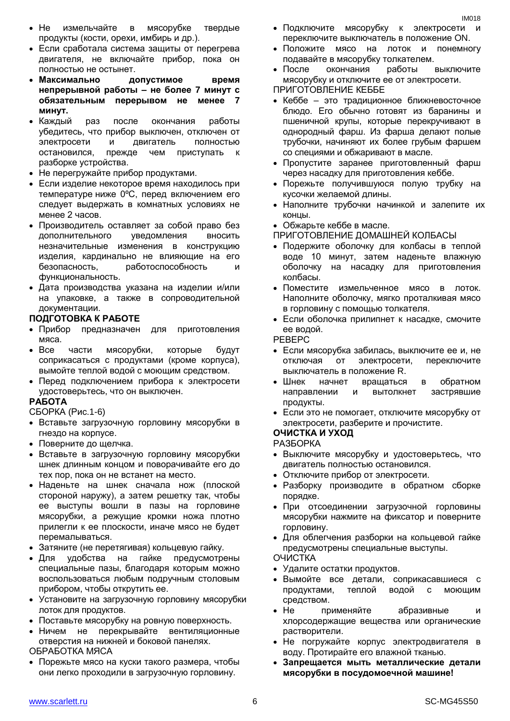- Если сработала система защиты от перегрева двигателя, не включайте прибор, пока он полностью не остынет.
- **Максимально допустимое время непрерывной работы – не более 7 минут с обязательным перерывом не менее 7 минут.**
- Каждый раз после окончания работы убедитесь, что прибор выключен, отключен от электросети и двигатель полностью остановился, прежде чем приступать к разборке устройства.
- Не перегружайте прибор продуктами.
- Если изделие некоторое время находилось при температуре ниже 0ºC, перед включением его следует выдержать в комнатных условиях не менее 2 часов.
- Производитель оставляет за собой право без дополнительного уведомления вносить незначительные изменения в конструкцию изделия, кардинально не влияющие на его безопасность, работоспособность и функциональность.
- Дата производства указана на изделии и/или на упаковке, а также в сопроводительной документации.

#### **ПОДГОТОВКА К РАБОТЕ**

- Прибор предназначен для приготовления мяса.
- Все части мясорубки, которые будут соприкасаться с продуктами (кроме корпуса), вымойте теплой водой с моющим средством.
- Перед подключением прибора к электросети удостоверьтесь, что он выключен.

#### **РАБОТА**

СБОРКА (Рис.1-6)

- Вставьте загрузочную горловину мясорубки в гнездо на корпусе.
- Поверните до щелчка.
- Вставьте в загрузочную горловину мясорубки шнек длинным концом и поворачивайте его до тех пор, пока он не встанет на место.
- Наденьте на шнек сначала нож (плоской стороной наружу), а затем решетку так, чтобы ее выступы вошли в пазы на горловине мясорубки, а режущие кромки ножа плотно прилегли к ее плоскости, иначе мясо не будет перемалываться.
- Затяните (не перетягивая) кольцевую гайку.
- Для удобства на гайке предусмотрены специальные пазы, благодаря которым можно воспользоваться любым подручным столовым прибором, чтобы открутить ее.
- Установите на загрузочную горловину мясорубки лоток для продуктов.
- Поставьте мясорубку на ровную поверхность.
- Ничем не перекрывайте вентиляционные отверстия на нижней и боковой панелях. ОБРАБОТКА МЯСА
- Порежьте мясо на куски такого размера, чтобы они легко проходили в загрузочную горловину.
- Подключите мясорубку к электросети и переключите выключатель в положение ON.
- Положите мясо на лоток и понемногу подавайте в мясорубку толкателем.
- После окончания работы выключите мясорубку и отключите ее от электросети.

ПРИГОТОВЛЕНИЕ КЕББЕ

- Кеббе это традиционное ближневосточное блюдо. Его обычно готовят из баранины и пшеничной крупы, которые перекручивают в однородный фарш. Из фарша делают полые трубочки, начиняют их более грубым фаршем со специями и обжаривают в масле.
- Пропустите заранее приготовленный фарш через насадку для приготовления кеббе.
- Порежьте получившуюся полую трубку на кусочки желаемой длины.
- Наполните трубочки начинкой и залепите их концы.

Обжарьте кеббе в масле.

- ПРИГОТОВЛЕНИЕ ДОМАШНЕЙ КОЛБАСЫ
- Подержите оболочку для колбасы в теплой воде 10 минут, затем наденьте влажную оболочку на насадку для приготовления колбасы.
- Поместите измельченное мясо в лоток. Наполните оболочку, мягко проталкивая мясо в горловину с помощью толкателя.
- Если оболочка прилипнет к насадке, смочите ее водой.

РЕВЕРС

- Если мясорубка забилась, выключите ее и, не отключая от электросети, переключите выключатель в положение R.
- Шнек начнет вращаться в обратном направлении и вытолкнет застрявшие продукты.
- Если это не помогает, отключите мясорубку от электросети, разберите и прочистите.

**ОЧИСТКА И УХОД**

- РАЗБОРКА
- Выключите мясорубку и удостоверьтесь, что двигатель полностью остановился.
- Отключите прибор от электросети.
- Разборку производите в обратном сборке порядке.
- При отсоединении загрузочной горловины мясорубки нажмите на фиксатор и поверните горловину.
- Для облегчения разборки на кольцевой гайке предусмотрены специальные выступы. ОЧИСТКА
- Удалите остатки продуктов.
- Вымойте все детали, соприкасавшиеся с продуктами, теплой водой с моющим средством.
- Не применяйте абразивные и хлорсодержащие вещества или органические растворители.
- Не погружайте корпус электродвигателя в воду. Протирайте его влажной тканью.
- **Запрещается мыть металлические детали мясорубки в посудомоечной машине!**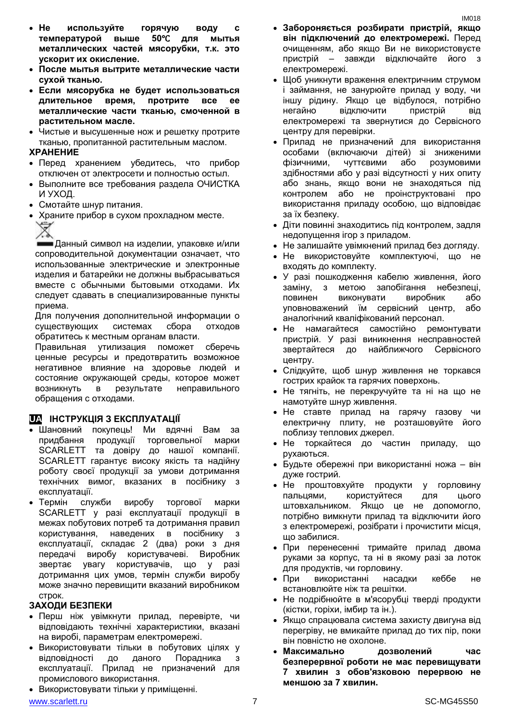- После мытья вытрите металлические части сухой тканью.
- Если мясорубка не будет использоваться длительное время, протрите **BCe** ee металлические части тканью, смоченной в растительном масле.
- Чистые и высушенные нож и решетку протрите тканью, пропитанной растительным маслом.

#### **XPAHEHUE**

- Перед хранением убедитесь, что прибор отключен от электросети и полностью остыл.
- Выполните все требования раздела ОЧИСТКА И УХОД.
- Смотайте шнур питания.
- Храните прибор в сухом прохладном месте.

X. Данный символ на изделии, упаковке и/или сопроводительной документации означает, что использованные электрические и электронные изделия и батарейки не должны выбрасываться вместе с обычными бытовыми отходами. Их следует сдавать в специализированные пункты приема.

Для получения дополнительной информации о существующих системах сбора ОТХОДОВ обратитесь к местным органам власти.

Правильная утилизация поможет сберечь ценные ресурсы и предотвратить возможное негативное влияние на здоровье людей и состояние окружающей среды, которое может **ВОЗНИКНУТЬ** B результате неправильного обращения с отходами.

#### **UA IHCTPYKЦIЯ З ЕКСПЛУАТАЦІЇ**

- Шановний покупець! Ми вдячні Вам за придбання продукції торговельної марки SCARLETT та довіру до нашої компанії. SCARLETT гарантує високу якість та надійну роботу своєї продукції за умови дотримання технічних вимог, вказаних в посібнику з експлуатації.
- Термін служби виробу торгової марки SCARLETT у разі експлуатації продукції в межах побутових потреб та дотримання правил користування, наведених в посібнику з експлуатації, складає 2 (два) роки з дня користувачеві. передачі виробу Виробник звертає увагу користувачів, ШО  $V$ разі дотримання цих умов, термін служби виробу може значно перевищити вказаний виробником строк.

#### ЗАХОДИ БЕЗПЕКИ

- Перш ніж увімкнути прилад, перевірте, чи відповідають технічні характеристики, вказані на виробі, параметрам електромережі.
- Використовувати тільки в побутових цілях у відповідності до даного Порадника 3 експлуатації. Прилад не призначений для промислового використання.
- Використовувати тільки у приміщенні.
- Забороняється розбирати пристрій, якщо він підключений до електромережі. Перед очищенням, або якщо Ви не використовуєте пристрій - завжди відключайте його з електромережі.
- Щоб уникнути враження електричним струмом і займання, не занурюйте прилад у воду, чи іншу рідину. Якщо це відбулося, потрібно негайно відключити пристрій від електромережі та звернутися до Сервісного центру для перевірки.
- Прилад не призначений для використання особами (включаючи дітей) зі зниженими фізичними, чуттєвими або розумовими здібностями або у разі відсутності у них опиту або знань, якщо вони не знаходяться під контролем або не проінструктовані про використання приладу особою, що відповідає за їх безпеку.
- Діти повинні знаходитись під контролем, задля недопущення ігор з приладом.
- Не залишайте увімкнений прилад без догляду.
- Не використовуйте комплектуючі, що не входять до комплекту.
- У разі пошкодження кабелю живлення, його метою запобігання небезпеці. заміну.  $\mathbf{3}$ повинен виконувати виробник або уповноважений їм сервісний центр, аб∩ аналогічний кваліфікований персонал.
- намагайтеся самостійно ремонтувати  $\bullet$  He пристрій. У разі виникнення несправностей звертайтеся до найближчого Сервісного центру.
- Слідкуйте, щоб шнур живлення не торкався гострих крайок та гарячих поверхонь.
- Не тягніть, не перекручуйте та ні на шо не намотуйте шнур живлення.
- Не ставте прилад на гарячу газову чи електричну плиту, не розташовуйте його поблизу теплових джерел.
- Не торкайтеся до частин приладу, ШО рухаються.
- Будьте обережні при використанні ножа він дуже гострий.
- $\bullet$  He проштовхуйте продукти V ГОDЛОВИНУ пальцями. користуйтеся ДЛЯ **IILOTO** штовхальником. Якщо це не допомогло, потрібно вимкнути прилад та відключити його з електромережі, розібрати і прочистити місця, що забилися.
- При перенесенні тримайте прилад двома руками за корпус, та ні в якому разі за лоток для продуктів, чи горловину.
- При використанні кеббе He насалки встановлюйте ніж та решітки.
- Не подрібнюйте в м'ясорубці тверді продукти (кістки, горіхи, імбир та ін.).
- Якщо спрацювала система захисту двигуна від перегріву, не вмикайте прилад до тих пір, поки він повністю не охолоне.
- Максимально дозволений uac. безперервної роботи не має перевищувати 7 хвилин з обов'язковою перервою не меншою за 7 хвилин.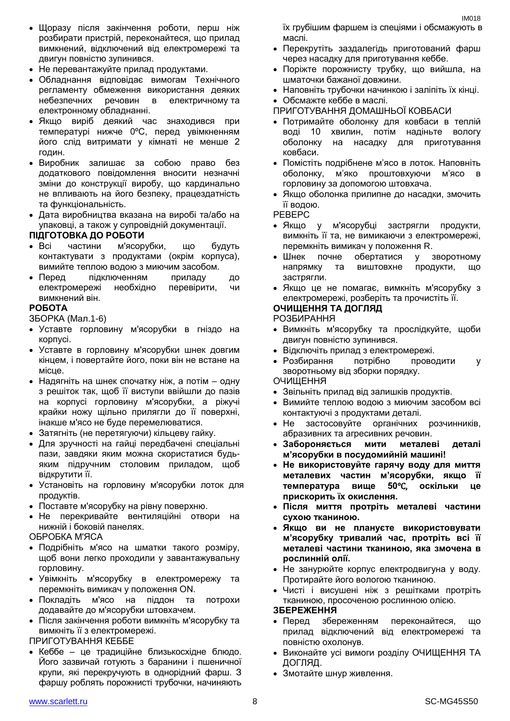- Щоразу після закінчення роботи, перш ніж розбирати пристрій, переконайтеся, що прилад вимкнений, відключений від електромережі та двигун повністю зупинився.
- Не перевантажуйте прилад продуктами.
- Обладнання відповідає вимогам Технічного регламенту обмеження використання деяких небезпечних речовин в електричному та електронному обладнанні.
- Якщо виріб деякий час знаходився при температурі нижче 0ºC, перед увімкненням його слід витримати у кімнаті не менше 2 годин.
- Виробник залишає за собою право без додаткового повідомлення вносити незначні зміни до конструкції виробу, що кардинально не впливають на його безпеку, працездатність та функціональність.
- Дата виробництва вказана на виробі та/або на упаковці, а також у супровідній документації.

#### **ПІДГОТОВКА ДО РОБОТИ**

- Всі частини м'ясорубки, що будуть контактувати з продуктами (окрім корпуса), вимийте теплою водою з миючим засобом.
- Перед підключенням приладу до електромережі необхідно перевірити, чи вимкнений він.

#### **РОБОТА**

ЗБОРКА (Мал.1-6)

- Уставте горловину м'ясорубки в гніздо на корпусі.
- Уставте в горловину м'ясорубки шнек довгим кінцем, і повертайте його, поки він не встане на місце.
- Надягніть на шнек спочатку ніж, а потім одну з решіток так, щоб її виступи ввійшли до пазiв на корпусі горловину м'ясорубки, а ріжучі крайки ножу щільно прилягли до її поверхні, інакше м'ясо не буде перемелюватися.
- Затягніть (не перетягуючи) кільцеву гайку.
- Для зручності на гайці передбачені спеціальні пази, завдяки яким можна скористатися будьяким підручним столовим приладом, щоб відкрутити її.
- Установіть на горловину м'ясорубки лоток для продуктів.
- Поставте м'ясорубку на рівну поверхню.
- Не перекривайте вентиляційні отвори на нижній і боковій панелях.

ОБРОБКА М'ЯСА

- Подрібніть м'ясо на шматки такого розміру, щоб вони легко проходили у завантажувальну горловину.
- Увімкніть м'ясорубку в електромережу та перемкніть вимикач у положення ON.
- Покладіть м'ясо на піддон та потрохи додавайте до м'ясорубки штовхачем.
- Після закінчення роботи вимкніть м'ясорубку та вимкніть її з електромережі.

ПРИГОТУВАННЯ КЕББЕ

 Кеббе – це традиційне близькосхідне блюдо. Його зазвичай готують з баранини і пшеничної крупи, які перекручують в однорідний фарш. З фаршу роблять порожнисті трубочки, начиняють

їх грубішим фаршем із спеціями і обсмажують в маслі.

- Перекрутіть заздалегідь приготований фарш через насадку для приготування кеббе.
- Поріжте порожнисту трубку, що вийшла, на шматочки бажаної довжини.
- Наповніть трубочки начинкою і заліпіть їх кінці.
- Обсмажте кеббе в маслі.
- ПРИГОТУВАННЯ ДОМАШНЬОЇ КОВБАСИ
- Потримайте оболонку для ковбаси в теплій воді 10 хвилин, потім надіньте вологу оболонку на насадку для приготування ковбаси.
- Помістіть подрібнене м'ясо в лоток. Наповніть оболонку, м'яко проштовхуючи м'ясо в горловину за допомогою штовхача.
- Якщо оболонка прилипне до насадки, змочить її водою.

РЕВЕРС

- Якщо у м'ясорубці застрягли продукти, вимкніть її та, не вимикаючи з електромережі, перемкніть вимикач у положення R.
- Шнек почне обертатися у зворотному напрямку та виштовхне продукти, що застрягли.
- Якщо це не помагає, вимкніть м'ясорубку з електромережі, розберіть та прочистіть її.

#### **ОЧИЩЕННЯ ТА ДОГЛЯД**

РОЗБИРАННЯ

- Вимкніть м'ясорубку та прослідкуйте, щоби двигун повністю зупинився.
- Відключіть прилад з електромережі.
- Розбирання потрібно проводити у зворотньому від зборки порядку. ОЧИЩЕННЯ
- Звільніть прилад від залишків продуктів.
- Вимийте теплою водою з миючим засобом всі контактуючі з продуктами деталі.
- Не застосовуйте органічних розчинників, абразивних та агресивних речовин.
- **Забороняється мити металеві деталі м'ясорубки в посудомийній машині!**
- **Не використовуйте гарячу воду для миття металевих частин м'ясорубки, якщо її температура вище 50**℃, **оскільки це прискорить їх окислення.**
- **Після миття протріть металеві частини сухою тканиною.**
- **Якщо ви не плануєте використовувати м'ясорубку тривалий час, протріть всі її металеві частини тканиною, яка змочена в рослинній олії.**
- Не занурюйте корпус електродвигуна у воду. Протирайте його вологою тканиною.
- Чисті і висушені ніж з решітками протріть тканиною, просоченою рослинною олією.

#### **ЗБЕРЕЖЕННЯ**

- Перед збереженням переконайтеся, що прилад відключений від електромережі та повністю охолонув.
- Виконайте усі вимоги розділу ОЧИЩЕННЯ ТА ДОГЛЯД.
- Змотайте шнур живлення.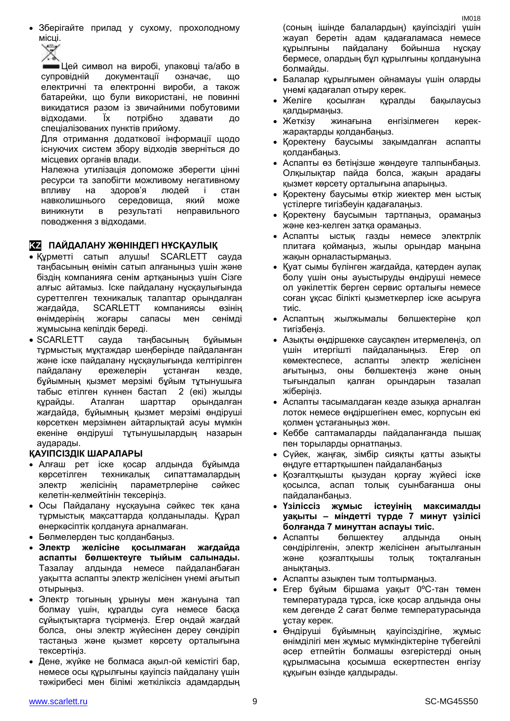Зберігайте прилад у сухому, прохолодному місці.



Цей символ на виробі, упаковці та/або в супровідній документації означає, що електричні та електронні вироби, а також батарейки, що були використані, не повинні викидатися разом із звичайними побутовими відходами. Їх потрібно здавати до спеціалізованих пунктів прийому.

Для отримання додаткової інформації щодо існуючих систем збору відходів зверніться до місцевих органів влади.

Належна утилізація допоможе зберегти цінні ресурси та запобігти можливому негативному впливу на здоров'я людей і стан навколишнього середовища, який може виникнути в результаті неправильного поводження з відходами.

#### **KZ ПАЙДАЛАНУ ЖӨНІНДЕГІ НҰСҚАУЛЫҚ**

- Құрметті сатып алушы! SCARLETT сауда таңбасының өнімін сатып алғаныңыз үшін және біздің компанияға сенім артқаныңыз үшін Сізге алғыс айтамыз. Іске пайдалану нұсқаулығында суреттелген техникалық талаптар орындалған жағдайда, SCARLETT компаниясы өзінің өнімдерінің жоғары сапасы мен сенімді жұмысына кепілдік береді.
- SCARLETT сауда таңбасының бұйымын тұрмыстық мұқтаждар шеңберінде пайдаланған және іске пайдалану нұсқаулығында келтірілген пайдалану ережелерін ұстанған кезде, бұйымның қызмет мерзімі бұйым тұтынушыға табыс етілген күннен бастап 2 (екі) жылды құрайды. Аталған шарттар орындалған жағдайда, бұйымның қызмет мерзімі өндіруші көрсеткен мерзімнен айтарлықтай асуы мүмкін екеніне өндіруші тұтынушылардың назарын аударады.

#### **ҚАУІПСІЗДІК ШАРАЛАРЫ**

- Алғаш рет іске қосар алдында бұйымда көрсетілген техникалық сипаттамалардың электр желісінің параметрлеріне сәйкес келетін-келмейтінін тексеріңіз.
- Осы Пайдалану нұсқауына сәйкес тек қана тұрмыстық мақсаттарда қолданылады. Құрал өнеркәсіптік қолдануға арналмаған.
- Бөлмелерден тыс қолданбаңыз.
- **Электр желісіне қосылмаған жағдайда аспапты бөлшектеуге тыйым салынады.**  Тазалау алдында немесе пайдаланбаған уақытта аспапты электр желісінен үнемі ағытып отырыңыз.
- Электр тогының ұрынуы мен жануына тап болмау үшін, құралды суға немесе басқа сұйықтықтарға түсірмеңіз. Егер ондай жағдай болса, оны электр жүйесінен дереу сөндіріп тастаңыз және қызмет көрсету орталығына тексертіңіз.
- Дене, жүйке не болмаса ақыл-ой кемістігі бар, немесе осы құрылғыны қауіпсіз пайдалану үшін тәжірибесі мен білімі жеткіліксіз адамдардың

(соның ішінде балалардың) қауіпсіздігі үшін жауап беретін адам қадағаламаса немесе құрылғыны пайдалану бойынша нұсқау бермесе, олардың бұл құрылғыны қолдануына болмайды.

- Балалар құрылғымен ойнамауы үшін оларды үнемі қадағалап отыру керек.
- Желіге қосылған құралды бақылаусыз қалдырмаңыз.
- Жеткізу жинағына енгізілмеген керекжарақтарды қолданбаңыз.
- Қоректену баусымы зақымдалған аспапты қолданбаңыз.
- Аспапты өз бетіңізше жөндеуге талпынбаңыз. Олқылықтар пайда болса, жақын арадағы қызмет көрсету орталығына апарыңыз.
- Қоректену баусымы өткір жиектер мен ыстық үстілерге тигізбеуін қадағалаңыз.
- Қоректену баусымын тартпаңыз, орамаңыз және кез-келген затқа орамаңыз.
- Аспапты ыстық газды немесе электрлік плитаға қоймаңыз, жылы орындар маңына жақын орналастырмаңыз.
- Қуат сымы бүлінген жағдайда, қатерден аулақ болу үшін оны ауыстыруды өндіруші немесе ол уәкілеттік берген сервис орталығы немесе соған ұқсас білікті қызметкерлер іске асыруға тиіс.
- Аспаптың жылжымалы бөлшектеріне қол тигізбеңіз.
- Азықты өңдіршекке саусақпен итермелеңіз, ол үшін итергішті пайдаланыңыз. Егер ол көмектеспесе, аспапты электр желісінен ағытыңыз, оны бөлшектеңіз және оның тығындалып қалған орындарын тазалап жіберіңіз.
- Аспапты тасымалдаған кезде азыққа арналған лоток немесе өңдіршегінен емес, корпусын екі қолмен ұстағаныңыз жөн.
- Кеббе саптамаларды пайдаланғанда пышақ пен торыларды орнатпаңыз.
- Сүйек, жаңғақ, зімбір сияқты қатты азықты өңдуге еттартқышпен пайдаланбаңыз
- Қозғалтқышты қызудан қорғау жүйесі іске қосылса, аспап толық суынбағанша оны пайдаланбаңыз.
- **Үзіліссіз жұмыс істеуінің максималды уақыты – міндетті түрде 7 минут үзілісі болғанда 7 минуттан аспауы тиіс.**
- Аспапты бөлшектеу алдында оның сөндірілгенін, электр желісінен ағытылғанын және қозғалтқышы толық тоқталғанын анықтаңыз.
- Аспапты азықпен тым толтырмаңыз.
- Егер бұйым біршама уақыт 0ºC-тан төмен температурада тұрса, іске қосар алдында оны кем дегенде 2 сағат бөлме температурасында ұстау керек.
- Өндіруші бұйымның қауіпсіздігіне, жұмыс өнімділігі мен жұмыс мүмкіндіктеріне түбегейлі әсер етпейтін болмашы өзгерістерді оның құрылмасына қосымша ескертпестен енгізу құқығын өзінде қалдырады.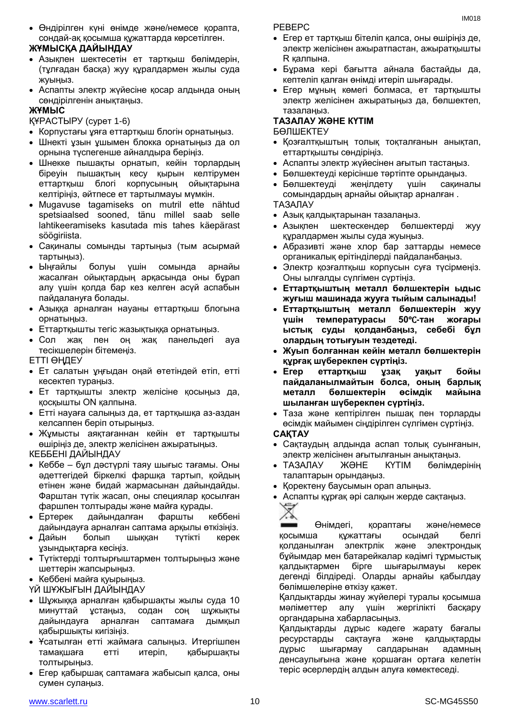Өндірілген күні өнімде және/немесе қорапта, сондай-ақ қосымша құжаттарда көрсетілген.

#### **ЖҰМЫСҚА ДАЙЫНДАУ**

- Азықпен шектесетін ет тартқыш бөлімдерін, (тұлғадан басқа) жуу құралдармен жылы суда жуыңыз.
- Аспапты электр жүйесіне қосар алдында оның сөндірілгенін анықтаңыз.

#### **ЖҰМЫС**

ҚҰРАСТЫРУ (сурет 1-6)

- Корпустағы ұяға еттартқыш блогін орнатыңыз.
- Шнекті ұзын ұшымен блокка орнатыңыз да ол орнына түспегенше айналдыра беріңіз.
- Шнекке пышақты орнатып, кейін торлардың біреуін пышақтың кесу қырын келтірумен еттартқыш блогі корпусының ойықтарына келтіріңіз, әйтпесе ет тартылмауы мүмкін.
- Mugavuse tagamiseks on mutril ette nähtud spetsiaalsed sooned, tänu millel saab selle lahtikeeramiseks kasutada mis tahes käepärast söögiriista.
- Сақиналы сомынды тартыңыз (тым асырмай тартыңыз).
- Ыңғайлы болуы үшін сомында арнайы жасалған ойықтардың арқасында оны бұрап алу үшін қолда бар кез келген асүй аспабын пайдалануға болады.
- Азыққа арналған науаны еттартқыш блогына орнатыңыз.
- Еттартқышты тегіс жазықтыққа орнатыңыз.
- Сол жақ пен оң жақ панельдегі ауа тесікшелерін бітемеңіз.
- ЕТТІ ӨҢДЕУ
- Ет салатын ұңғыдан оңай өтетіндей етіп, етті кесектеп тураңыз.
- Ет тартқышты злектр желісіне қосыңыз да, қосқышты ON қалпына.
- Етті науаға салыңыз да, ет тартқышқа аз-аздан келсаппен беріп отырыңыз.
- Жұмысты аяқтағаннан кейін ет тартқышты өшіріңіз де, электр желісінен ажыратыңыз. КЕББЕНІ ДАЙЫНДАУ
- Кеббе бұл дәстүрлі таяу шығыс тағамы. Оны әдеттегідей біркелкі фаршқа тартып, қойдың етінен және бидай жармасынан дайындайды. Фарштан түтік жасап, оны специялар қосылған фаршпен толтырады және майға қурады.
- Ертерек дайындалған фаршты кеббені дайындауға арналған саптама арқылы өткізіңіз.
- Дайын болып шыққан түтікті керек ұзындықтарға кесіңіз.
- Түтіктерді толтырғыштармен толтырыңыз және шеттерін жапсырыңыз.
- Кеббені майға қуырыңыз.

ҮЙ ШҰЖЫҒЫН ДАЙЫНДАУ

- Шұжыққа арналған қабыршақты жылы суда 10 минуттай ұстаңыз, содан соң шұжықты дайындауға арналған саптамаға дымқыл қабыршықты кигізіңіз.
- Ұсатылған етті жаймаға салыңыз. Итергішпен тамақшаға етті итеріп, қабыршақты толтырыңыз.
- Егер қабыршақ саптамаға жабысып қалса, оны сумен сулаңыз.

РЕВЕРС

- Егер ет тартқыш бітеліп қалса, оны өшіріңіз де, электр желісінен ажыратпастан, ажыратқышты R қалпына.
- Бұрама кері бағытта айнала бастайды да, кептеліп қалған өнімді итеріп шығарады.
- Егер мұның көмегі болмаса, ет тартқышты электр желісінен ажыратыңыз да, бөлшектеп, тазалаңыз.

# **ТАЗАЛАУ ЖӘНЕ КҮТІМ**

БӨЛШЕКТЕУ

- Қозғалтқыштың толық тоқталғанын анықтап, еттартқышты сөндіріңіз.
- Аспапты электр жүйесінен ағытып тастаңыз.
- Бөлшектеуді керісінше тәртіпте орындаңыз.
- Бөлшектеуді жеңілдету үшін сақиналы сомындардың арнайы ойықтар арналған .

#### ТАЗАЛАУ

- Азық қалдықтарынан тазалаңыз.
- Азықпен шектескендер бөлшектерді жуу құралдармен жылы суда жуыңыз.
- Абразивті және хлор бар заттарды немесе органикалық ерітінділерді пайдаланбаңыз.
- Электр қозғалтқыш корпусын суға түсірмеңіз. Оны ылғалды сүлгімен сүртіңіз.
- **Еттартқыштың металл бөлшектерін ыдыс жуғыш машинада жууға тыйым салынады!**
- **Еттартқыштың металл бөлшектерін жуу үшін температурасы 50**℃**-тан жоғары ыстық суды қолданбаңыз, себебі бұл олардың тотығуын тездетеді.**
- **Жуып болғаннан кейін металл бөлшектерін құрғақ шүберекпен сүртіңіз.**
- **Егер еттартқыш ұзақ уақыт бойы пайдаланылмайтын болса, оның барлық металл бөлшектерін өсімдік майына шыланған шүберекпен сүртіңіз.**
- Таза және кептірілген пышақ пен торларды өсімдік майымен сіңдірілген сүлгімен сүртіңіз.

#### **САҚТАУ**

- Сақтаудың алдында аспап толық суынғанын, электр желісінен ағытылғанын анықтаңыз.
- ТАЗАЛАУ ЖӘНЕ КҮТІМ бөлімдерінің талаптарын орындаңыз.
- Қоректену баусымын орап алыңыз.
- Аспапты құрғақ әрі салқын жерде сақтаңыз.



Өнімдегі, қораптағы және/немесе қосымша құжаттағы осындай белгі қолданылған электрлік және электрондық бұйымдар мен батарейкалар кәдімгі тұрмыстық қалдықтармен бірге шығарылмауы керек дегенді білдіреді. Оларды арнайы қабылдау бөлімшелеріне өткізу қажет.

Қалдықтарды жинау жүйелері туралы қосымша мәліметтер алу үшін жергілікті басқару органдарына хабарласыңыз.

Қалдықтарды дұрыс кәдеге жарату бағалы ресурстарды сақтауға және қалдықтарды дұрыс шығармау салдарынан адамның денсаулығына және қоршаған ортаға келетін теріс әсерлердің алдын алуға көмектеседі.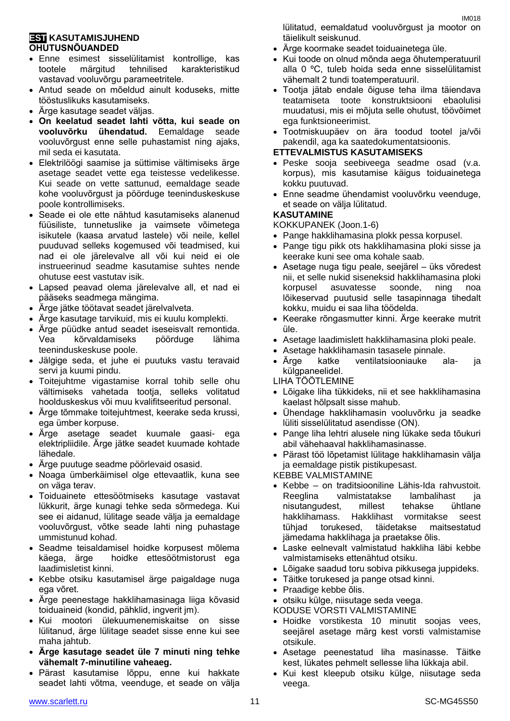#### **EST KASUTAMISJUHEND OHUTUSNÕUANDED**

- Enne esimest sisselülitamist kontrollige, kas tootele märgitud tehnilised karakteristikud vastavad vooluvõrgu parameetritele.
- Antud seade on mõeldud ainult koduseks, mitte tööstuslikuks kasutamiseks.
- Ärge kasutage seadet väljas.
- **On keelatud seadet lahti võtta, kui seade on vooluvõrku ühendatud.** Eemaldage seade vooluvõrgust enne selle puhastamist ning ajaks, mil seda ei kasutata.
- Elektrilöögi saamise ja süttimise vältimiseks ärge asetage seadet vette ega teistesse vedelikesse. Kui seade on vette sattunud, eemaldage seade kohe vooluvõrgust ja pöörduge teeninduskeskuse poole kontrollimiseks.
- Seade ei ole ette nähtud kasutamiseks alanenud füüsiliste, tunnetuslike ja vaimsete võimetega isikutele (kaasa arvatud lastele) või neile, kellel puuduvad selleks kogemused või teadmised, kui nad ei ole järelevalve all või kui neid ei ole instrueerinud seadme kasutamise suhtes nende ohutuse eest vastutav isik.
- Lapsed peavad olema järelevalve all, et nad ei pääseks seadmega mängima.
- Ärge jätke töötavat seadet järelvalveta.
- Ärge kasutage tarvikuid, mis ei kuulu komplekti.
- Ärge püüdke antud seadet iseseisvalt remontida. Vea kõrvaldamiseks pöörduge lähima teeninduskeskuse poole.
- Jälgige seda, et juhe ei puutuks vastu teravaid servi ja kuumi pindu.
- Toitejuhtme vigastamise korral tohib selle ohu vältimiseks vahetada tootja, selleks volitatud hoolduskeskus või muu kvalifitseeritud personal.
- Ärge tõmmake toitejuhtmest, keerake seda krussi, ega ümber korpuse.
- Ärge asetage seadet kuumale gaasi- ega elektripliidile. Ärge jätke seadet kuumade kohtade lähedale.
- Ärge puutuge seadme pöörlevaid osasid.
- Noaga ümberkäimisel olge ettevaatlik, kuna see on väga terav.
- Toiduainete ettesöötmiseks kasutage vastavat lükkurit, ärge kunagi tehke seda sõrmedega. Kui see ei aidanud, lülitage seade välja ja eemaldage vooluvõrgust, võtke seade lahti ning puhastage ummistunud kohad.
- Seadme teisaldamisel hoidke korpusest mõlema käega, ärge hoidke ettesöötmistorust ega laadimisletist kinni.
- Kebbe otsiku kasutamisel ärge paigaldage nuga ega võret.
- Ärge peenestage hakklihamasinaga liiga kõvasid toiduaineid (kondid, pähklid, ingverit jm).
- Kui mootori ülekuumenemiskaitse on sisse lülitanud, ärge lülitage seadet sisse enne kui see maha jahtub.
- **Ärge kasutage seadet üle 7 minuti ning tehke vähemalt 7-minutiline vaheaeg.**
- Pärast kasutamise lõppu, enne kui hakkate seadet lahti võtma, veenduge, et seade on välja

lülitatud, eemaldatud vooluvõrgust ja mootor on täielikult seiskunud.

- Ärge koormake seadet toiduainetega üle.
- Kui toode on olnud mõnda aega õhutemperatuuril alla 0 ºC, tuleb hoida seda enne sisselülitamist vähemalt 2 tundi toatemperatuuril.
- Tootja jätab endale õiguse teha ilma täiendava teatamiseta toote konstruktsiooni ebaolulisi muudatusi, mis ei mõjuta selle ohutust, töövõimet ega funktsioneerimist.
- Tootmiskuupäev on ära toodud tootel ja/või pakendil, aga ka saatedokumentatsioonis.

#### **ETTEVALMISTUS KASUTAMISEKS**

- Peske sooja seebiveega seadme osad (v.a. korpus), mis kasutamise käigus toiduainetega kokku puutuvad.
- Enne seadme ühendamist vooluvõrku veenduge, et seade on välja lülitatud.

#### **KASUTAMINE**

KOKKUPANEK (Joon.1-6)

- Pange hakklihamasina plokk pessa korpusel.
- Pange tigu pikk ots hakklihamasina ploki sisse ja keerake kuni see oma kohale saab.
- Asetage nuga tigu peale, seejärel üks võredest nii, et selle nukid siseneksid hakklihamasina ploki korpusel asuvatesse soonde, ning noa lõikeservad puutusid selle tasapinnaga tihedalt kokku, muidu ei saa liha töödelda.
- Keerake rõngasmutter kinni. Ärge keerake mutrit üle.
- Asetage laadimislett hakklihamasina ploki peale.
- Asetage hakklihamasin tasasele pinnale.
- Ärge katke ventilatsiooniauke ala- ja külgpaneelidel.

LIHA TÖÖTLEMINE

- Lõigake liha tükkideks, nii et see hakklihamasina kaelast hõlpsalt sisse mahub.
- Ühendage hakklihamasin vooluvõrku ja seadke lüliti sisselülitatud asendisse (ON).
- Pange liha lehtri alusele ning lükake seda tõukuri abil vähehaaval hakklihamasinasse.
- Pärast töö lõpetamist lülitage hakklihamasin välja ja eemaldage pistik pistikupesast.

KEBBE VALMISTAMINE

- Kebbe on traditsiooniline Lähis-Ida rahvustoit. Reeglina valmistatakse lambalihast ja nisutangudest, millest tehakse ühtlane hakklihamass. Hakklihast vormitakse seest tühjad torukesed, täidetakse maitsestatud jämedama hakklihaga ja praetakse õlis.
- Laske eelnevalt valmistatud hakkliha läbi kebbe valmistamiseks ettenähtud otsiku.
- Lõigake saadud toru sobiva pikkusega juppideks.
- Täitke torukesed ja pange otsad kinni.
- Praadige kebbe õlis.
- otsiku külge, niisutage seda veega.
- KODUSE VORSTI VALMISTAMINE
- Hoidke vorstikesta 10 minutit soojas vees, seejärel asetage märg kest vorsti valmistamise otsikule.
- Asetage peenestatud liha masinasse. Täitke kest, lükates pehmelt sellesse liha lükkaja abil.
- Kui kest kleepub otsiku külge, niisutage seda veega.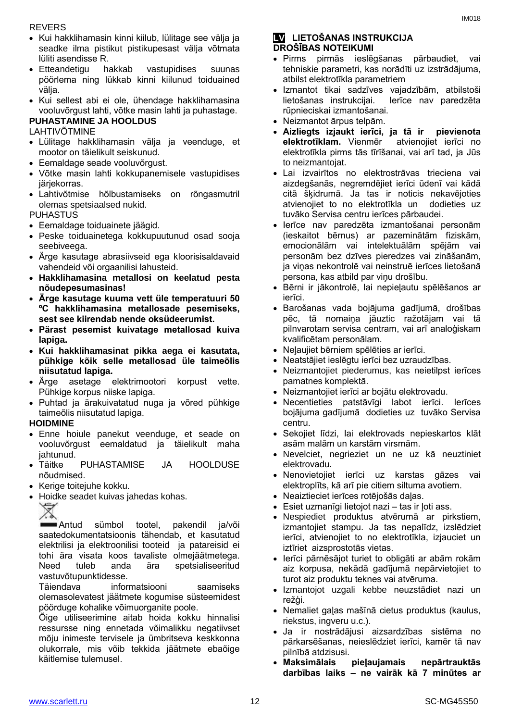#### REVERS

- Kui hakklihamasin kinni kiilub, lülitage see välja ja seadke ilma pistikut pistikupesast välja võtmata lüliti asendisse R.
- Etteandetigu hakkab vastupidises suunas pöörlema ning lükkab kinni kiilunud toiduained välja.
- Kui sellest abi ei ole, ühendage hakklihamasina vooluvõrgust lahti, võtke masin lahti ja puhastage.

# **PUHASTAMINE JA HOOLDUS**

LAHTIVÕTMINE

- Lülitage hakklihamasin välja ja veenduge, et mootor on täielikult seiskunud.
- Eemaldage seade vooluvõrgust.
- Võtke masin lahti kokkupanemisele vastupidises järjekorras.
- Lahtivõtmise hõlbustamiseks on rõngasmutril olemas spetsiaalsed nukid.

PUHASTUS

- Eemaldage toiduainete jäägid.
- Peske toiduainetega kokkupuutunud osad sooja seebiveega.
- Ärge kasutage abrasiivseid ega kloorisisaldavaid vahendeid või orgaanilisi lahusteid.
- **Hakklihamasina metallosi on keelatud pesta nõudepesumasinas!**
- **Ärge kasutage kuuma vett üle temperatuuri 50 ºC hakklihamasina metallosade pesemiseks, sest see kiirendab nende oksüdeerumist.**
- **Pärast pesemist kuivatage metallosad kuiva lapiga.**
- **Kui hakklihamasinat pikka aega ei kasutata, pühkige kõik selle metallosad üle taimeõlis niisutatud lapiga.**
- Ärge asetage elektrimootori korpust vette. Pühkige korpus niiske lapiga.
- Puhtad ja ärakuivatatud nuga ja võred pühkige taimeõlis niisutatud lapiga.

#### **HOIDMINE**

- Enne hoiule panekut veenduge, et seade on vooluvõrgust eemaldatud ja täielikult maha jahtunud.
- Täitke PUHASTAMISE JA HOOLDUSE nõudmised.
- Kerige toitejuhe kokku.
- Hoidke seadet kuivas jahedas kohas.

∀ ⋌₷

Antud sümbol tootel, pakendil ja/või saatedokumentatsioonis tähendab, et kasutatud elektrilisi ja elektroonilisi tooteid ja patareisid ei tohi ära visata koos tavaliste olmejäätmetega. Need tuleb anda ära spetsialiseeritud vastuvõtupunktidesse.

Täiendava informatsiooni saamiseks olemasolevatest jäätmete kogumise süsteemidest pöörduge kohalike võimuorganite poole.

Õige utiliseerimine aitab hoida kokku hinnalisi ressursse ning ennetada võimalikku negatiivset mõju inimeste tervisele ja ümbritseva keskkonna olukorrale, mis võib tekkida jäätmete ebaõige käitlemise tulemusel.

#### **LV LIETOŠANAS INSTRUKCIJA DROŠĪBAS NOTEIKUMI**

- Pirms pirmās ieslēgšanas pārbaudiet, vai tehniskie parametri, kas norādīti uz izstrādājuma, atbilst elektrotīkla parametriem
- Izmantot tikai sadzīves vajadzībām, atbilstoši lietošanas instrukcijai. Ierīce nav paredzēta rūpnieciskai izmantošanai.
- Neizmantot ārpus telpām.
- **Aizliegts izjaukt ierīci, ja tā ir pievienota elektrotīklam.** Vienmēr atvienojiet ierīci no elektrotīkla pirms tās tīrīšanai, vai arī tad, ja Jūs to neizmantojat.
- Lai izvairītos no elektrostrāvas trieciena vai aizdegšanās, negremdējiet ierīci ūdenī vai kādā citā šķidrumā. Ja tas ir noticis nekavējoties atvienojiet to no elektrotīkla un dodieties uz tuvāko Servisa centru ierīces pārbaudei.
- Ierīce nav paredzēta izmantošanai personām (ieskaitot bērnus) ar pazeminātām fiziskām, emocionālām vai intelektuālām spējām vai personām bez dzīves pieredzes vai zināšanām, ja viņas nekontrolē vai neinstruē ierīces lietošanā persona, kas atbild par viņu drošību.
- Bērni ir jākontrolē, lai nepieļautu spēlēšanos ar ierīci.
- Barošanas vada bojājuma gadījumā, drošības pēc, tā nomaiņa jāuztic ražotājam vai tā pilnvarotam servisa centram, vai arī analoģiskam kvalificētam personālam.
- Neļaujiet bērniem spēlēties ar ierīci.
- Neatstājiet ieslēgtu ierīci bez uzraudzības.
- Neizmantojiet piederumus, kas neietilpst ierīces pamatnes komplektā.
- Neizmantojiet ierīci ar bojātu elektrovadu.
- Necentieties patstāvīgi labot ierīci. Ierīces bojājuma gadījumā dodieties uz tuvāko Servisa centru.
- Sekojiet līdzi, lai elektrovads nepieskartos klāt asām malām un karstām virsmām.
- Nevelciet, negrieziet un ne uz kā neuztiniet elektrovadu.
- Nenovietojiet ierīci uz karstas gāzes vai elektroplīts, kā arī pie citiem siltuma avotiem.
- Neaiztieciet ierīces rotējošās daļas.
- Esiet uzmanīgi lietojot nazi tas ir ļoti ass.
- Nespiediet produktus atvērumā ar pirkstiem, izmantojiet stampu. Ja tas nepalīdz, izslēdziet ierīci, atvienojiet to no elektrotīkla, izjauciet un iztīriet aizsprostotās vietas.
- Ierīci pārnēsājot turiet to obligāti ar abām rokām aiz korpusa, nekādā gadījumā nepārvietojiet to turot aiz produktu teknes vai atvēruma.
- Izmantojot uzgali kebbe neuzstādiet nazi un režģi.
- Nemaliet gaļas mašīnā cietus produktus (kaulus, riekstus, ingveru u.c.).
- Ja ir nostrādājusi aizsardzības sistēma no pārkarsēšanas, neieslēdziet ierīci, kamēr tā nav pilnībā atdzisusi.
- **Maksimālais pieļaujamais nepārtrauktās darbības laiks – ne vairāk kā 7 minūtes ar**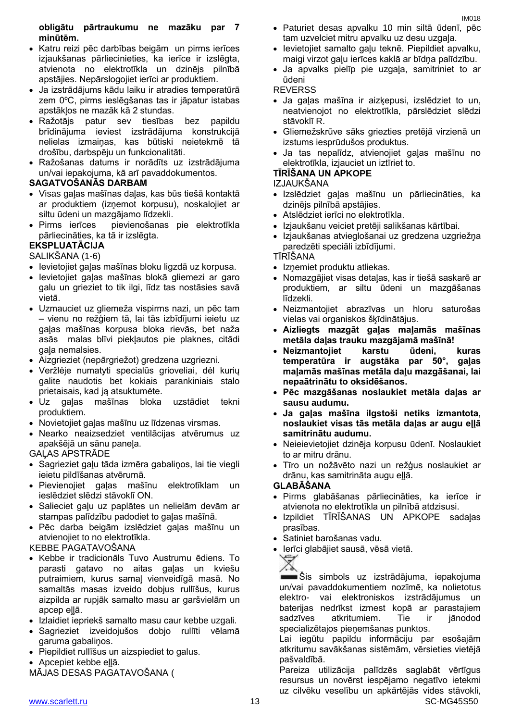#### **obligātu pārtraukumu ne mazāku par 7 minūtēm.**

- Katru reizi pēc darbības beigām un pirms ierīces izjaukšanas pārliecinieties, ka ierīce ir izslēgta, atvienota no elektrotīkla un dzinējs pilnībā apstājies. Nepārslogojiet ierīci ar produktiem.
- Ja izstrādājums kādu laiku ir atradies temperatūrā zem 0ºC, pirms ieslēgšanas tas ir jāpatur istabas apstākļos ne mazāk kā 2 stundas.
- Ražotājs patur sev tiesības bez papildu brīdinājuma ieviest izstrādājuma konstrukcijā nelielas izmaiņas, kas būtiski neietekmē tā drošību, darbspēju un funkcionalitāti.
- Ražošanas datums ir norādīts uz izstrādājuma un/vai iepakojuma, kā arī pavaddokumentos.

#### **SAGATVOŠANĀS DARBAM**

- Visas gaļas mašīnas daļas, kas būs tiešā kontaktā ar produktiem (izņemot korpusu), noskalojiet ar siltu ūdeni un mazgājamo līdzekli.
- Pirms ierīces pievienošanas pie elektrotīkla pārliecināties, ka tā ir izslēgta.

### **EKSPLUATĀCIJA**

SALIKŠANA (1-6)

- Ievietojiet gaļas mašīnas bloku ligzdā uz korpusa.
- Ievietojiet gaļas mašīnas blokā gliemezi ar garo galu un grieziet to tik ilgi, līdz tas nostāsies savā vietā.
- Uzmauciet uz gliemeža vispirms nazi, un pēc tam – vienu no režģiem tā, lаi tās izbīdījumi ieietu uz gaļas mašīnas korpusa bloka rievās, bet naža asās malas blīvi piekļautos pie plaknes, citādi gaļa nemalsies.
- Aizgrieziet (nepārgriežot) gredzena uzgriezni.
- Veržlėje numatyti specialūs grioveliai, dėl kurių galite naudotis bet kokiais parankiniais stalo prietaisais, kad ją atsuktumėte.
- Uz gaļas mašīnas bloka uzstādiet tekni produktiem.
- Novietojiet gaļas mašīnu uz līdzenas virsmas.
- Nearko neaizsedziet ventilācijas atvērumus uz apakšējā un sānu paneļa.

#### GAĻAS APSTRĀDE

- Sagrieziet gaļu tāda izmēra gabaliņos, lai tie viegli ieietu pildīšanas atvērumā.
- Pievienojiet gaļas mašīnu elektrotīklam un ieslēdziet slēdzi stāvoklī ON.
- Salieciet gaļu uz paplātes un nelielām devām ar stampas palīdzību padodiet to gaļas mašīnā.
- Pēc darba beigām izslēdziet gaļas mašīnu un atvienojiet to no elektrotīkla.

# KEBBE PAGATAVOŠANA

- Kebbe ir tradicionāls Tuvo Austrumu ēdiens. To parasti gatavo no aitas gaļas un kviešu putraimiem, kurus samaļ vienveidīgā masā. No samaltās masas izveido dobjus rullīšus, kurus aizpilda ar rupjāk samalto masu ar garšvielām un apcep eļļā.
- Izlaidiet iepriekš samalto masu caur kebbe uzgali.
- Sagrieziet izveidojušos dobjo rullīti vēlamā garuma gabaliņos.
- Piepildiet rullīšus un aizspiediet to galus.
- Apcepiet kebbe eļļā.
- MĀJAS DESAS PAGATAVOŠANA (
- Paturiet desas apvalku 10 min siltā ūdenī, pēc tam uzvelciet mitru apvalku uz desu uzgaļa.
- levietojiet samalto gaļu teknē. Piepildiet apvalku, maigi virzot gaļu ierīces kaklā ar bīdņa palīdzību.
- Ja apvalks pielīp pie uzgaļa, samitriniet to ar ūdeni

#### REVERSS

- Ja gaļas mašīna ir aizķepusi, izslēdziet to un, neatvienojot no elektrotīkla, pārslēdziet slēdzi stāvoklī R.
- Gliemežskrūve sāks griezties pretējā virzienā un izstums iesprūdušos produktus.
- Ja tas nepalīdz, atvienojiet gaļas mašīnu no elektrotīkla, izjauciet un iztīriet to.

### **TĪRĪŠANA UN APKOPE**

#### IZJAUKŠANA

- Izslēdziet gaļas mašīnu un pārliecināties, ka dzinējs pilnībā apstājies.
- Atslēdziet ierīci no elektrotīkla.
- Izjaukšanu veiciet pretēji salikšanas kārtībai.
- Izjaukšanas atvieglošanai uz gredzena uzgriežņa paredzēti speciāli izbīdījumi.

TĪRĪŠANA

- Iznemiet produktu atliekas.
- Nomazgājiet visas detaļas, kas ir tiešā saskarē ar produktiem, ar siltu ūdeni un mazgāšanas līdzekli.
- Neizmantojiet abrazīvas un hloru saturošas vielas vai organiskos šķīdinātājus.
- **Aizliegts mazgāt gaļas maļamās mašīnas metāla daļas trauku mazgājamā mašīnā!**
- **Neizmantojiet karstu ūdeni, kuras temperatūra ir augstāka par 50°, gaļas maļamās mašīnas metāla daļu mazgāšanai, lai nepaātrinātu to oksidēšanos.**
- **Pēc mazgāšanas noslaukiet metāla daļas ar sausu audumu.**
- **Ja gaļas mašīna ilgstoši netiks izmantota, noslaukiet visas tās metāla daļas ar augu eļļā samitrinātu audumu.**
- Neieievietojiet dzinēja korpusu ūdenī. Noslaukiet to ar mitru drānu.
- Tīro un nožāvēto nazi un režģus noslaukiet ar drānu, kas samitrināta augu eļļā.

#### **GLABĀŠANA**

- Pirms glabāšanas pārliecināties, ka ierīce ir atvienota no elektrotīkla un pilnībā atdzisusi.
- Izpildiet TĪRĪŠANAS UN APKOPE sadaļas prasības.
- **Satiniet barošanas vadu.**
- **Ierīci glabājiet sausā, vēsā vietā.**<br>X

Šis simbols uz izstrādājuma, iepakojuma un/vai pavaddokumentiem nozīmē, ka nolietotus elektro- vai elektroniskos izstrādājumus un baterijas nedrīkst izmest kopā ar parastajiem sadzīves atkritumiem. Tie ir jānodod specializētajos pieņemšanas punktos.

Lai iegūtu papildu informāciju par esošajām atkritumu savākšanas sistēmām, vērsieties vietējā pašvaldībā.

Pareiza utilizācija palīdzēs saglabāt vērtīgus resursus un novērst iespējamo negatīvo ietekmi uz cilvēku veselību un apkārtējās vides stāvokli,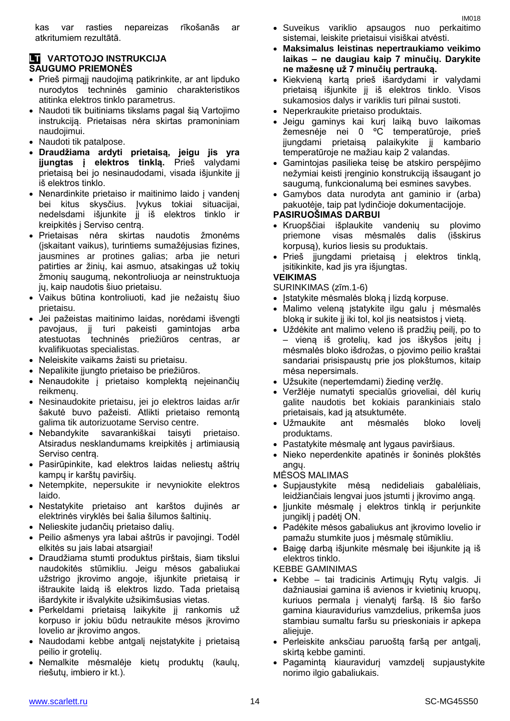#### **LT VARTOTOJO INSTRUKCIJA SAUGUMO PRIEMONĖS**

- Prieš pirmąjį naudojimą patikrinkite, ar ant lipduko nurodytos techninės gaminio charakteristikos atitinka elektros tinklo parametrus.
- Naudoti tik buitiniams tikslams pagal šią Vartojimo instrukciją. Prietaisas nėra skirtas pramoniniam naudojimui.
- Naudoti tik patalpose.
- **Draudžiama ardyti prietaisą, jeigu jis yra įjungtas į elektros tinklą.** Prieš valydami prietaisą bei jo nesinaudodami, visada išjunkite jį iš elektros tinklo.
- Nenardinkite prietaiso ir maitinimo laido į vandenį bei kitus skysčius. Įvykus tokiai situacijai, nedelsdami išjunkite jį iš elektros tinklo ir kreipkitės į Serviso centrą.
- Prietaisas nėra skirtas naudotis žmonėms (įskaitant vaikus), turintiems sumažėjusias fizines, jausmines ar protines galias; arba jie neturi patirties ar žinių, kai asmuo, atsakingas už tokių žmonių saugumą, nekontroliuoja ar neinstruktuoja jų, kaip naudotis šiuo prietaisu.
- Vaikus būtina kontroliuoti, kad jie nežaistų šiuo prietaisu.
- Jei pažeistas maitinimo laidas, norėdami išvengti pavojaus, jį turi pakeisti gamintojas arba atestuotas techninės priežiūros centras, ar kvalifikuotas specialistas.
- Neleiskite vaikams žaisti su prietaisu.
- Nepalikite įjungto prietaiso be priežiūros.
- Nenaudokite į prietaiso komplektą neįeinančių reikmenų.
- Nesinaudokite prietaisu, jei jo elektros laidas ar/ir šakutė buvo pažeisti. Atlikti prietaiso remontą galima tik autorizuotame Serviso centre.
- Nebandykite savarankiškai taisyti prietaiso. Atsiradus nesklandumams kreipkitės į artimiausią Serviso centrą.
- Pasirūpinkite, kad elektros laidas neliestų aštrių kampų ir karštų paviršių.
- Netempkite, nepersukite ir nevyniokite elektros laido.
- Nestatykite prietaiso ant karštos dujinės ar elektrinės viryklės bei šalia šilumos šaltinių.
- Nelieskite judančių prietaiso dalių.
- Peilio ašmenys yra labai aštrūs ir pavojingi. Todėl elkitės su jais labai atsargiai!
- Draudžiama stumti produktus pirštais, šiam tikslui naudokitės stūmikliu. Jeigu mėsos gabaliukai užstrigo įkrovimo angoje, išjunkite prietaisą ir ištraukite laidą iš elektros lizdo. Tada prietaisą išardykite ir išvalykite užsikimšusias vietas.
- Perkeldami prietaisą laikykite jį rankomis už korpuso ir jokiu būdu netraukite mėsos įkrovimo lovelio ar įkrovimo angos.
- Naudodami kebbe antgalį neįstatykite į prietaisą peilio ir grotelių.
- Nemalkite mėsmalėje kietų produktų (kaulų, riešutų, imbiero ir kt.).
- Suveikus variklio apsaugos nuo perkaitimo sistemai, leiskite prietaisui visiškai atvėsti.
- **Maksimalus leistinas nepertraukiamo veikimo laikas – ne daugiau kaip 7 minučių. Darykite ne mažesnę už 7 minučių pertrauką.**
- Kiekvieną kartą prieš išardydami ir valydami prietaisą išjunkite jį iš elektros tinklo. Visos sukamosios dalys ir variklis turi pilnai sustoti.
- Neperkraukite prietaiso produktais.
- Jeigu gaminys kai kurį laiką buvo laikomas žemesnėje nei 0 ºC temperatūroje, prieš įjungdami prietaisą palaikykite jį kambario temperatūroje ne mažiau kaip 2 valandas.
- Gamintojas pasilieka teisę be atskiro perspėjimo nežymiai keisti įrenginio konstrukciją išsaugant jo saugumą, funkcionalumą bei esmines savybes.
- Gamybos data nurodyta ant gaminio ir (arba) pakuotėje, taip pat lydinčioje dokumentacijoje.

#### **PASIRUOŠIMAS DARBUI**

- Kruopščiai išplaukite vandenių su plovimo priemone visas mėsmalės dalis (išskirus korpusą), kurios liesis su produktais.
- Prieš įjungdami prietaisą į elektros tinklą, įsitikinkite, kad jis yra išjungtas.

#### **VEIKIMAS**

SURINKIMAS (zīm.1-6)

- Istatykite mėsmalės bloką į lizdą korpuse.
- Malimo veleną įstatykite ilgu galu į mėsmalės bloką ir sukite jį iki tol, kol jis neatsistos į vietą.
- Uždėkite ant malimo veleno iš pradžių peilį, po to – vieną iš grotelių, kad jos iškyšos įeitų į mėsmalės bloko išdrožas, o pjovimo peilio kraštai sandariai prisispaustų prie jos plokštumos, kitaip mėsa nepersimals.
- Užsukite (nepertemdami) žiedinę veržlę.
- Veržlėje numatyti specialūs grioveliai, dėl kurių galite naudotis bet kokiais parankiniais stalo prietaisais, kad ją atsuktumėte.
- Užmaukite ant mėsmalės bloko lovelį produktams.
- Pastatykite mėsmalę ant lygaus paviršiaus.
- Nieko neperdenkite apatinės ir šoninės plokštės angų.

MĖSOS MALIMAS

- Supjaustykite mėsą nedideliais gabalėliais, leidžiančiais lengvai juos įstumti į įkrovimo angą.
- ljunkite mėsmalę į elektros tinklą ir perjunkite jungiklį į padėtį ON.
- Padėkite mėsos gabaliukus ant įkrovimo lovelio ir pamažu stumkite juos į mėsmalę stūmikliu.
- Baigę darbą išjunkite mėsmalę bei išjunkite ją iš elektros tinklo.

KEBBE GAMINIMAS

- Kebbe tai tradicinis Artimųjų Rytų valgis. Ji dažniausiai gamina iš avienos ir kvietinių kruopų, kuriuos permala į vienalytį faršą. Iš šio faršo gamina kiauravidurius vamzdelius, prikemša juos stambiau sumaltu faršu su prieskoniais ir apkepa aliejuje.
- Perleiskite anksčiau paruoštą faršą per antgalį, skirtą kebbe gaminti.
- Pagamintą kiauravidurį vamzdelį supjaustykite norimo ilgio gabaliukais.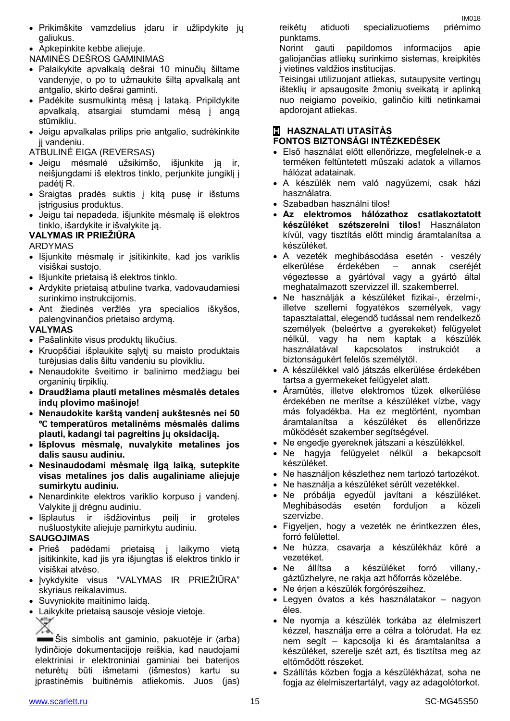Apkepinkite kebbe aliejuje.

NAMINĖS DEŠROS GAMINIMAS

- Palaikykite apvalkalą dešrai 10 minučių šiltame vandenyje, o po to užmaukite šiltą apvalkalą ant antgalio, skirto dešrai gaminti.
- Padėkite susmulkintą mėsą į lataką. Pripildykite apvalkalą, atsargiai stumdami mėsą į angą stūmikliu.
- Jeigu apvalkalas prilips prie antgalio, sudrėkinkite jį vandeniu.
- ATBULINĖ EIGA (REVERSAS)
- Jeigu mėsmalė užsikimšo, išjunkite ją ir, neišjungdami iš elektros tinklo, perjunkite jungiklį į padėtį R.
- Sraigtas pradės suktis į kitą pusę ir išstums įstrigusius produktus.
- Jeigu tai nepadeda, išjunkite mėsmalę iš elektros tinklo, išardykite ir išvalykite ją.

#### **VALYMAS IR PRIEŽIŪRA**

#### ARDYMAS

- Išjunkite mėsmalę ir įsitikinkite, kad jos variklis visiškai sustojo.
- Išjunkite prietaisą iš elektros tinklo.
- Ardykite prietaisą atbuline tvarka, vadovaudamiesi surinkimo instrukcijomis.
- Ant žiedinės veržlės yra specialios iškyšos, palengvinančios prietaiso ardymą.

#### **VALYMAS**

- Pašalinkite visus produktų likučius.
- Kruopščiai išplaukite sąlytį su maisto produktais turėjusias dalis šiltu vandeniu su plovikliu.
- Nenaudokite šveitimo ir balinimo medžiagu bei organinių tirpiklių.
- **Draudžiama plauti metalines mėsmalės detales indų plovimo mašinoje!**
- **Nenaudokite karštą vandenį aukštesnės nei 50**  ℃ **temperatūros metalinėms mėsmalės dalims plauti, kadangi tai pagreitins jų oksidaciją.**
- **Išplovus mėsmalę, nuvalykite metalines jos dalis sausu audiniu.**
- **Nesinaudodami mėsmalę ilgą laiką, sutepkite visas metalines jos dalis augaliniame aliejuje sumirkytu audiniu.**
- Nenardinkite elektros variklio korpuso į vandenį. Valykite jį drėgnu audiniu.
- Išplautus ir išdžiovintus peilį ir groteles nušluostykite aliejuje pamirkytu audiniu.

#### **SAUGOJIMAS**

- Prieš padėdami prietaisą į laikymo vietą įsitikinkite, kad jis yra išjungtas iš elektros tinklo ir visiškai atvėso.
- Įvykdykite visus "VALYMAS IR PRIEŽIŪRA" skyriaus reikalavimus.
- Suvyniokite maitinimo laidą.
- Laikykite prietaisą sausoje vėsioje vietoje. ♦

Šis simbolis ant gaminio, pakuotėje ir (arba) lydinčioje dokumentacijoje reiškia, kad naudojami elektriniai ir elektroniniai gaminiai bei baterijos neturėtų būti išmetami (išmestos) kartu su įprastinėmis buitinėmis atliekomis. Juos (jas)

reikėtų atiduoti specializuotiems priėmimo punktams.

Norint gauti papildomos informacijos apie galiojančias atliekų surinkimo sistemas, kreipkitės į vietines valdžios institucijas.

Teisingai utilizuojant atliekas, sutaupysite vertingų išteklių ir apsaugosite žmonių sveikatą ir aplinką nuo neigiamo poveikio, galinčio kilti netinkamai apdorojant atliekas.

# **H HASZNALATI UTASÍTÁS**

#### **FONTOS BIZTONSÁGI INTÉZKEDÉSEK**

- Első használat előtt ellenőrizze, megfelelnek-e a terméken feltüntetett műszaki adatok a villamos hálózat adatainak.
- A készülék nem való nagyüzemi, csak házi használatra.
- Szabadban használni tilos!
- **Az elektromos hálózathoz csatlakoztatott készüléket szétszerelni tilos!** Használaton kívül, vagy tisztítás előtt mindig áramtalanítsa a készüléket.
- A vezeték meghibásodása esetén veszély elkerülése érdekében – annak cseréjét végeztesse a gyártóval vagy a gyártó által meghatalmazott szervizzel ill. szakemberrel.
- Ne használják a készüléket fizikai-, érzelmi-, illetve szellemi fogyatékos személyek, vagy tapasztalattal, elegendő tudással nem rendelkező személyek (beleértve a gyerekeket) felügyelet nélkül, vagy ha nem kaptak a készülék használatával kapcsolatos instrukciót a biztonságukért felelős személytől.
- A készülékkel való játszás elkerülése érdekében tartsa a gyermekeket felügyelet alatt.
- Áramütés, illetve elektromos tüzek elkerülése érdekében ne merítse a készüléket vízbe, vagy más folyadékba. Ha ez megtörtént, nyomban áramtalanítsa a készüléket és ellenőrizze működését szakember segítségével.
- Ne engedje gyereknek játszani a készülékkel.
- Ne hagyja felügyelet nélkül a bekapcsolt készüléket.
- Ne használjon készlethez nem tartozó tartozékot.
- Ne használja a készüléket sérült vezetékkel.
- Ne próbálja egyedül javítani a készüléket. Meghibásodás esetén forduljon a közeli szervizbe.
- Figyeljen, hogy a vezeték ne érintkezzen éles, forró felülettel.
- Ne húzza, csavarja a készülékház köré a vezetéket.
- Ne állítsa a készüléket forró villany, gáztűzhelyre, ne rakja azt hőforrás közelébe.
- Ne érjen a készülék forgórészeihez.
- Legyen óvatos a kés használatakor nagyon éles.
- Ne nyomja a készülék torkába az élelmiszert kézzel, használja erre a célra a tolórudat. Ha ez nem segít – kapcsolja ki és áramtalanítsa a készüléket, szerelje szét azt, és tisztítsa meg az eltömődött részeket.
- Szállítás közben fogja a készülékházat, soha ne fogja az élelmiszertartályt, vagy az adagolótorkot.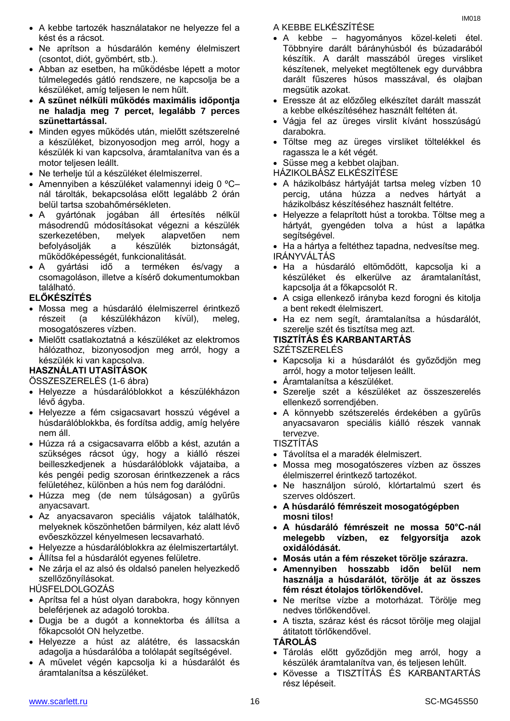- Ne aprítson a húsdarálón kemény élelmiszert (csontot, diót, gyömbért, stb.).
- Abban az esetben, ha működésbe lépett a motor túlmelegedés gátló rendszere, ne kapcsolja be a készüléket, amíg teljesen le nem hűlt.
- **A szünet nélküli működés maximális időpontja ne haladja meg 7 percet, legalább 7 perces szünettartással.**
- Minden egyes működés után, mielőtt szétszerelné a készüléket, bizonyosodjon meg arról, hogy a készülék ki van kapcsolva, áramtalanítva van és a motor teljesen leállt.
- Ne terhelje túl a készüléket élelmiszerrel.
- Amennyiben a készüléket valamennyi ideig 0 ºC– nál tárolták, bekapcsolása előtt legalább 2 órán belül tartsa szobahőmérsékleten.
- A gyártónak jogában áll értesítés nélkül másodrendű módosításokat végezni a készülék szerkezetében, melyek alapvetően nem befolyásolják a készülék biztonságát, működőképességét, funkcionalitását.
- A gyártási idő a terméken és/vagy a csomagoláson, illetve a kísérő dokumentumokban található.

# **ELŐKÉSZÍTÉS**

- Mossa meg a húsdaráló élelmiszerrel érintkező részeit (a készülékházon kívül), meleg, mosogatószeres vízben.
- Mielőtt csatlakoztatná a készüléket az elektromos hálózathoz, bizonyosodjon meg arról, hogy a készülék ki van kapcsolva.

# **HASZNÁLATI UTASÍTÁSOK**

ÖSSZESZERELÉS (1-6 ábra)

- Helyezze a húsdarálóblokkot a készülékházon lévő ágyba.
- Helyezze a fém csigacsavart hosszú végével a húsdarálóblokkba, és fordítsa addig, amíg helyére nem áll.
- Húzza rá a csigacsavarra előbb a kést, azután a szükséges rácsot úgy, hogy a kiálló részei beilleszkedjenek a húsdarálóblokk vájataiba, a kés pengéi pedig szorosan érintkezzenek a rács felületéhez, különben a hús nem fog darálódni.
- Húzza meg (de nem túlságosan) a gyűrűs anyacsavart.
- Az anyacsavaron speciális vájatok találhatók, melyeknek köszönhetően bármilyen, kéz alatt lévő evőeszközzel kényelmesen lecsavarható.
- Helyezze a húsdarálóblokkra az élelmiszertartályt.
- Állítsa fel a húsdarálót egyenes felületre.
- Ne zárja el az alsó és oldalsó panelen helyezkedő szellőzőnyílásokat.

# HÚSFELDOLGOZÁS

- Aprítsa fel a húst olyan darabokra, hogy könnyen beleférjenek az adagoló torokba.
- Dugja be a dugót a konnektorba és állítsa a főkapcsolót ON helyzetbe.
- Helyezze a húst az alátétre, és lassacskán adagolja a húsdarálóba a tolólapát segítségével.
- A művelet végén kapcsolja ki a húsdarálót és áramtalanítsa a készüléket.

A KEBBE ELKÉSZÍTÉSE

- A kebbe hagyományos közel-keleti étel. Többnyire darált bárányhúsból és búzadarából készítik. A darált masszából üreges virsliket készítenek, melyeket megtöltenek egy durvábbra darált fűszeres húsos masszával, és olajban megsütik azokat.
- Eressze át az előzőleg elkészítet darált masszát a kebbe elkészítéséhez használt feltéten át.
- Vágja fel az üreges virslit kívánt hosszúságú darabokra.
- Töltse meg az üreges virsliket töltelékkel és ragassza le a két végét.

Süsse meg a kebbet olajban.

- HÁZIKOLBÁSZ ELKÉSZÍTÉSE
- A házikolbász hártyáját tartsa meleg vízben 10 percig, utána húzza a nedves hártyát a házikolbász készítéséhez használt feltétre.
- Helyezze a felaprított húst a torokba. Töltse meg a hártyát, gyengéden tolva a húst a lapátka segítségével.
- Ha a hártya a feltéthez tapadna, nedvesítse meg. IRÁNYVÁLTÁS
- Ha a húsdaráló eltömődött, kapcsolja ki a készüléket és elkerülve az áramtalanítást, kapcsolja át a főkapcsolót R.
- A csiga ellenkező irányba kezd forogni és kitolja a bent rekedt élelmiszert.
- Ha ez nem segít, áramtalanítsa a húsdarálót, szerelje szét és tisztítsa meg azt.

# **TISZTÍTÁS ÉS KARBANTARTÁS**

- SZÉTSZERELÉS
- Kapcsolja ki a húsdarálót és győződjön meg arról, hogy a motor teljesen leállt.
- Áramtalanítsa a készüléket.
- Szerelje szét a készüléket az összeszerelés ellenkező sorrendjében.
- A könnyebb szétszerelés érdekében a gyűrűs anyacsavaron speciális kiálló részek vannak tervezve.

# TISZTÍTÁS

- Távolítsa el a maradék élelmiszert.
- Mossa meg mosogatószeres vízben az összes élelmiszerrel érintkező tartozékot.
- Ne használjon súroló, klórtartalmú szert és szerves oldószert.
- **A húsdaráló fémrészeit mosogatógépben mosni tilos!**
- **A húsdaráló fémrészeit ne mossa 50°C-nál melegebb vízben, ez felgyorsítja azok oxidálódását.**
- **Mosás után a fém részeket törölje szárazra.**
- **Amennyiben hosszabb időn belül nem használja a húsdarálót, törölje át az összes fém részt étolajos törlőkendővel.**
- Ne merítse vízbe a motorházat. Törölje meg nedves törlőkendővel.
- A tiszta, száraz kést és rácsot törölje meg olajjal átitatott törlőkendővel.

#### **TÁROLÁS**

- Tárolás előtt győződjön meg arról, hogy a készülék áramtalanítva van, és teljesen lehűlt.
- Kövesse a TISZTÍTÁS ÉS KARBANTARTÁS rész lépéseit.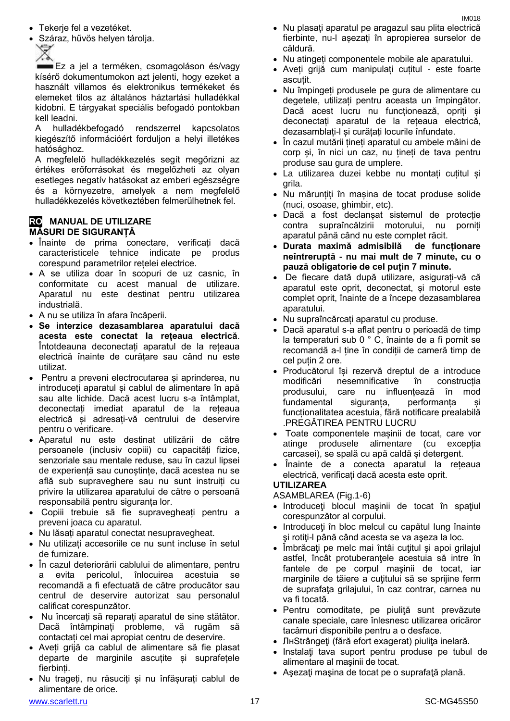- Tekerje fel a vezetéket.
- Száraz, hűvös helyen tárolja.

**Ez a jel a terméken, csomagoláson és/vagy** kísérő dokumentumokon azt jelenti, hogy ezeket a használt villamos és elektronikus termékeket és elemeket tilos az általános háztartási hulladékkal kidobni. E tárgyakat speciális befogadó pontokban kell leadni.

A hulladékbefogadó rendszerrel kapcsolatos kiegészítő információért forduljon a helyi illetékes hatósághoz.

A megfelelő hulladékkezelés segít megőrizni az értékes erőforrásokat és megelőzheti az olyan esetleges negatív hatásokat az emberi egészségre és a környezetre, amelyek a nem megfelelő hulladékkezelés következtében felmerülhetnek fel.

#### **RO MANUAL DE UTILIZARE MĂSURI DE SIGURANȚĂ**

- Înainte de prima conectare, verificați dacă caracteristicele tehnice indicate pe produs corespund parametrilor rețelei electrice.
- A se utiliza doar în scopuri de uz casnic, în conformitate cu acest manual de utilizare. Aparatul nu este destinat pentru utilizarea industrială.
- A nu se utiliza în afara încăperii.
- **Se interzice dezasamblarea aparatului dacă acesta este conectat la rețeaua electrică**. Întotdeauna deconectați aparatul de la rețeaua electrică înainte de curățare sau când nu este utilizat.
- Pentru a preveni electrocutarea și aprinderea, nu introduceți aparatul și cablul de alimentare în apă sau alte lichide. Dacă acest lucru s-a întâmplat, deconectați imediat aparatul de la rețeaua electrică și adresați-vă centrului de deservire pentru o verificare.
- Aparatul nu este destinat utilizării de către persoanele (inclusiv copiii) cu capacități fizice, senzoriale sau mentale reduse, sau în cazul lipsei de experiență sau cunoștințe, dacă acestea nu se află sub supraveghere sau nu sunt instruiți cu privire la utilizarea aparatului de către o persoană responsabilă pentru siguranța lor.
- Copiii trebuie să fie supravegheați pentru a preveni joaca cu aparatul.
- Nu lăsați aparatul conectat nesupravegheat.
- Nu utilizați accesoriile ce nu sunt incluse în setul de furnizare.
- În cazul deteriorării cablului de alimentare, pentru a evita pericolul, înlocuirea acestuia se recomandă a fi efectuată de către producător sau centrul de deservire autorizat sau personalul calificat corespunzător.
- Nu încercați să reparați aparatul de sine stătător. Dacă întâmpinați probleme, vă rugăm să contactați cel mai apropiat centru de deservire.
- Aveți grijă ca cablul de alimentare să fie plasat departe de marginile ascuțite și suprafețele fierbinți.
- Nu trageți, nu răsuciți și nu înfășurați cablul de alimentare de orice.
- Nu plasați aparatul pe aragazul sau plita electrică fierbinte, nu-l așezați în apropierea surselor de căldură.
- Nu atingeți componentele mobile ale aparatului.
- Aveți grijă cum manipulați cuțitul este foarte ascuțit.
- Nu împingeți produsele pe gura de alimentare cu degetele, utilizați pentru aceasta un împingător. Dacă acest lucru nu funcționează, opriți și deconectați aparatul de la rețeaua electrică, dezasamblați-l și curățați locurile înfundate.
- În cazul mutării țineți aparatul cu ambele mâini de corp și, în nici un caz, nu țineți de tava pentru produse sau gura de umplere.
- La utilizarea duzei kebbe nu montați cuțitul și grila.
- Nu mărunțiți în mașina de tocat produse solide (nuci, osoase, ghimbir, etc).
- Dacă a fost declanșat sistemul de protecție contra supraîncălzirii motorului, nu porniți aparatul până când nu este complet răcit.
- **Durata maximă admisibilă de funcționare neîntreruptă - nu mai mult de 7 minute, cu o pauză obligatorie de cel puțin 7 minute.**
- De fiecare dată după utilizare, asigurați-vă că aparatul este oprit, deconectat, și motorul este complet oprit, înainte de a începe dezasamblarea aparatului.
- Nu supraîncărcați aparatul cu produse.
- Dacă aparatul s-a aflat pentru o perioadă de timp la temperaturi sub 0 ° C, înainte de a fi pornit se recomandă a-l ține în condiții de cameră timp de cel puțin 2 ore.
- Producătorul își rezervă dreptul de a introduce modificări nesemnificative în construcția produsului, care nu influențează în mod fundamental siguranța, performanța și funcționalitatea acestuia, fără notificare prealabilă .PREGĂTIREA PENTRU LUCRU
- Toate componentele mașinii de tocat, care vor atinge produsele alimentare (cu excepția carcasei), se spală cu apă caldă și detergent.
- Înainte de a conecta aparatul la rețeaua electrică, verificați dacă acesta este oprit. **UTILIZAREA**

- ASAMBLAREA (Fig.1-6) Introduceţi blocul maşinii de tocat în spaţiul
- corespunzător al corpului.
- Introduceți în bloc melcul cu capătul lung înainte şi rotiţi-l până când acesta se va aşeza la loc.
- Îmbrăcaţi pe melc mai întâi cuţitul şi apoi grilajul astfel, încât protuberanțele acestuia să intre în fantele de pe corpul maşinii de tocat, iar marginile de tăiere a cutitului să se sprijine ferm de suprafaţa grilajului, în caz contrar, carnea nu va fi tocată.
- Pentru comoditate, pe piuliţă sunt prevăzute canale speciale, care înlesnesc utilizarea oricăror tacâmuri disponibile pentru a o desface.
- ЛнStrângeţi (fără efort exagerat) piuliţa inelară.
- Instalaţi tava suport pentru produse pe tubul de alimentare al maşinii de tocat.
- Asezati masina de tocat pe o suprafată plană.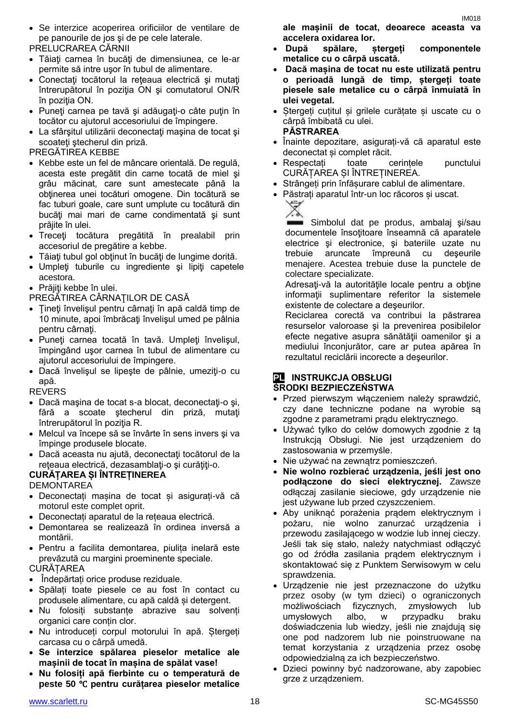Se interzice acoperirea orificiilor de ventilare de pe panourile de jos şi de pe cele laterale.

PRELUCRAREA CĂRNII

- Tăiaţi carnea în bucăţi de dimensiunea, ce le-ar permite să intre uşor în tubul de alimentare.
- Conectaţi tocătorul la reţeaua electrică şi mutaţi întrerupătorul în poziţia ON şi comutatorul ON/R în pozitia ON.
- Puneţi carnea pe tavă şi adăugaţi-o câte puţin în tocător cu ajutorul accesoriului de împingere.
- La sfârșitul utilizării deconectați mașina de tocat și scoateți ștecherul din priză.
- PREGĂTIREA KEBBE
- Kebbe este un fel de mâncare orientală. De regulă, acesta este pregătit din carne tocată de miel şi grâu măcinat, care sunt amestecate până la obtinerea unei tocături omogene. Din tocătură se fac tuburi goale, care sunt umplute cu tocătură din bucăți mai mari de carne condimentată și sunt prăjite în ulei.
- Treceţi tocătura pregătită în prealabil prin accesoriul de pregătire a kebbe.
- Tăiați tubul gol obținut în bucăți de lungime dorită.
- Umpleţi tuburile cu ingrediente şi lipiţi capetele acestora.
- Prăjiti kebbe în ulei.
- PREGĂTIREA CÂRNAŢILOR DE CASĂ
- Ţineţi învelişul pentru cârnaţi în apă caldă timp de 10 minute, apoi îmbrăcaţi învelişul umed pe pâlnia pentru cârnați.
- Puneţi carnea tocată în tavă. Umpleţi învelişul, împingând uşor carnea în tubul de alimentare cu ajutorul accesoriului de împingere.
- Dacă învelisul se lipeste de pâlnie, umeziți-o cu apă.

REVERS

- Dacă maşina de tocat s-a blocat, deconectaţi-o şi, fără a scoate ştecherul din priză, mutaţi întrerupătorul în poziţia R.
- Melcul va începe să se învârte în sens invers şi va împinge produsele blocate.
- Dacă aceasta nu ajută, deconectaţi tocătorul de la reţeaua electrică, dezasamblaţi-o şi curăţiţi-o.

#### **CURĂȚAREA ȘI ÎNTREȚINEREA**

**DEMONTAREA** 

- Deconectați mașina de tocat și asigurați-vă că motorul este complet oprit.
- Deconectați aparatul de la rețeaua electrică.
- Demontarea se realizează în ordinea inversă a montării.
- Pentru a facilita demontarea, piulița inelară este prevăzută cu margini proeminente speciale. CURĂȚAREA
- Îndepărtați orice produse reziduale.
- Spălați toate piesele ce au fost în contact cu produsele alimentare, cu apă caldă și detergent.
- Nu folosiți substanțe abrazive sau solvenți organici care conțin clor.
- Nu introduceți corpul motorului în apă. Ștergeți carcasa cu o cârpă umedă.
- **Se interzice spălarea pieselor metalice ale mașinii de tocat în mașina de spălat vase!**
- **Nu folosiți apă fierbinte cu o temperatură de peste 50** ℃ **pentru curățarea pieselor metalice**

**ale mașinii de tocat, deoarece aceasta va accelera oxidarea lor.**

- **După spălare, ștergeți componentele metalice cu o cârpă uscată.**
- **Dacă mașina de tocat nu este utilizată pentru o perioadă lungă de timp, ștergeți toate piesele sale metalice cu o cârpă înmuiată în ulei vegetal.**
- Ștergeți cuțitul și grilele curățate și uscate cu o cârpă îmbibată cu ulei. **PĂSTRAREA**
- Înainte depozitare, asigurați-vă că aparatul este deconectat și complet răcit.
- Respectați toate cerințele punctului CURĂȚAREA ȘI ÎNTREȚINEREA.
- Strângeți prin înfășurare cablul de alimentare.
- Păstrați aparatul într-un loc răcoros și uscat.



Simbolul dat pe produs, ambalaj şi/sau documentele însoţitoare înseamnă că aparatele electrice şi electronice, şi bateriile uzate nu trebuie aruncate împreună cu deşeurile menajere. Acestea trebuie duse la punctele de colectare specializate.

Adresaţi-vă la autorităţile locale pentru a obţine informaţii suplimentare referitor la sistemele existente de colectare a deşeurilor.

Reciclarea corectă va contribui la păstrarea resurselor valoroase şi la prevenirea posibilelor efecte negative asupra sănătăţii oamenilor şi a mediului înconjurător, care ar putea apărea în rezultatul reciclării incorecte a deşeurilor.

# **PL INSTRUKCJA OBSŁUGI**

# **ŚRODKI BEZPIECZEŃSTWA**

- Przed pierwszym włączeniem należy sprawdzić, czy dane techniczne podane na wyrobie są zgodne z parametrami prądu elektrycznego.
- Używać tylko do celów domowych zgodnie z tą Instrukcją Obsługi. Nie jest urządzeniem do zastosowania w przemyśle.
- Nie używać na zewnątrz pomieszczeń.
- **Nie wolno rozbierać urządzenia, jeśli jest ono podłączone do sieci elektrycznej.** Zawsze odłączaj zasilanie sieciowe, gdy urządzenie nie jest używane lub przed czyszczeniem.
- Aby uniknąć porażenia prądem elektrycznym i pożaru, nie wolno zanurzać urządzenia i przewodu zasilającego w wodzie lub innej cieczy. Jeśli tak się stało, należy natychmiast odłączyć go od źródła zasilania prądem elektrycznym i skontaktować się z Punktem Serwisowym w celu sprawdzenia.
- Urządzenie nie jest przeznaczone do użytku przez osoby (w tym dzieci) o ograniczonych możliwościach fizycznych, zmysłowych lub umysłowych albo, w przypadku braku doświadczenia lub wiedzy, jeśli nie znajdują się one pod nadzorem lub nie poinstruowane na temat korzystania z urządzenia przez osobę odpowiedzialną za ich bezpieczeństwo.
- Dzieci powinny być nadzorowane, aby zapobiec grze z urządzeniem.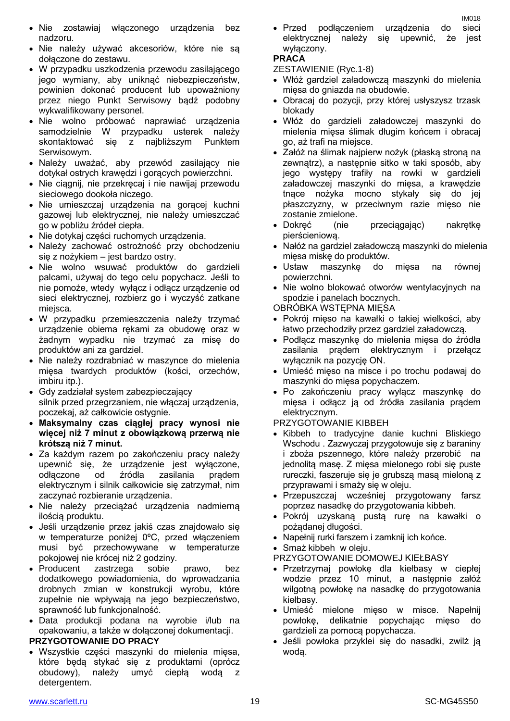- Nie zostawiaj włączonego urządzenia bez nadzoru.
- Nie należy używać akcesoriów, które nie są dołączone do zestawu.
- W przypadku uszkodzenia przewodu zasilającego jego wymiany, aby uniknąć niebezpieczeństw, powinien dokonać producent lub upoważniony przez niego Punkt Serwisowy bądź podobny wykwalifikowany personel.
- Nie wolno próbować naprawiać urządzenia samodzielnie W przypadku usterek należy skontaktować się z najbliższym Punktem Serwisowym.
- Należy uważać, aby przewód zasilający nie dotykał ostrych krawędzi i gorących powierzchni.
- Nie ciągnij, nie przekręcaj i nie nawijaj przewodu sieciowego dookoła niczego.
- Nie umieszczaj urządzenia na gorącej kuchni gazowej lub elektrycznej, nie należy umieszczać go w pobliżu źródeł ciepła.
- Nie dotykaj części ruchomych urządzenia.
- Należy zachować ostrożność przy obchodzeniu się z nożykiem – jest bardzo ostry.
- Nie wolno wsuwać produktów do gardzieli palcami, używaj do tego celu popychacz. Jeśli to nie pomoże, wtedy wyłącz i odłącz urządzenie od sieci elektrycznej, rozbierz go i wyczyść zatkane miejsca.
- W przypadku przemieszczenia należy trzymać urządzenie obiema rękami za obudowę oraz w żadnym wypadku nie trzymać za misę do produktów ani za gardziel.
- Nie należy rozdrabniać w maszynce do mielenia mięsa twardych produktów (kości, orzechów, imbiru itp.).
- Gdy zadziałał system zabezpieczający silnik przed przegrzaniem, nie włączaj urządzenia, poczekaj, aż całkowicie ostygnie.
- **Maksymalny czas ciągłej pracy wynosi nie więcej niż 7 minut z obowiązkową przerwą nie krótszą niż 7 minut.**
- Za każdym razem po zakończeniu pracy należy upewnić się, że urządzenie jest wyłączone, odłączone od źródła zasilania prądem elektrycznym i silnik całkowicie się zatrzymał, nim zaczynać rozbieranie urządzenia.
- Nie należy przeciążać urządzenia nadmierną ilością produktu.
- Jeśli urządzenie przez jakiś czas znajdowało się w temperaturze poniżej 0ºC, przed włączeniem musi być przechowywane w temperaturze pokojowej nie krócej niż 2 godziny.
- Producent zastrzega sobie prawo, bez dodatkowego powiadomienia, do wprowadzania drobnych zmian w konstrukcji wyrobu, które zupełnie nie wpływają na jego bezpieczeństwo, sprawność lub funkcjonalność.
- Data produkcji podana na wyrobie i/lub na opakowaniu, a także w dołączonej dokumentacji.

# **PRZYGOTOWANIE DO PRACY**

 Wszystkie części maszynki do mielenia mięsa, które będą stykać się z produktami (oprócz obudowy), należy umyć ciepłą wodą z detergentem.

 Przed podłączeniem urządzenia do sieci elektrycznej należy się upewnić, że jest wyłączony.

**PRACA**

- ZESTAWIENIE (Ryc.1-8)
- Włóż gardziel załadowczą maszynki do mielenia mięsa do gniazda na obudowie.
- Obracaj do pozycji, przy której usłyszysz trzask blokady
- Włóż do gardzieli załadowczej maszynki do mielenia mięsa ślimak długim końcem i obracaj go, aż trafi na miejsce.
- Załóż na ślimak najpierw nożyk (płaską stroną na zewnątrz), a następnie sitko w taki sposób, aby jego występy trafiły na rowki w gardzieli załadowczej maszynki do mięsa, a krawędzie tnące nożyka mocno stykały się do jej płaszczyzny, w przeciwnym razie mięso nie zostanie zmielone.
- Dokręć (nie przeciągając) nakrętkę pierścieniową.
- Nałóż na gardziel załadowczą maszynki do mielenia mięsa miskę do produktów.
- Ustaw maszynkę do mięsa na równej powierzchni.
- Nie wolno blokować otworów wentylacyjnych na spodzie i panelach bocznych.

OBRÓBKA WSTĘPNA MIĘSA

- Pokrój mięso na kawałki o takiej wielkości, aby łatwo przechodziły przez gardziel załadowczą.
- Podłącz maszynkę do mielenia mięsa do źródła zasilania prądem elektrycznym i przełącz wyłącznik na pozycję ON.
- Umieść mięso na misce i po trochu podawaj do maszynki do mięsa popychaczem.
- Po zakończeniu pracy wyłącz maszynkę do mięsa i odłącz ją od źródła zasilania prądem elektrycznym.

PRZYGOTOWANIE KIBBEH

- Kibbeh to tradycyjne danie kuchni Bliskiego Wschodu . Zazwyczaj przygotowuje się z baraniny i zboża pszennego, które należy przerobić na jednolitą masę. Z mięsa mielonego robi się puste rureczki, faszeruje się je grubszą masą mieloną z przyprawami i smaży się w oleju.
- Przepuszczaj wcześniej przygotowany farsz poprzez nasadkę do przygotowania kibbeh.
- Pokrój uzyskaną pustą rurę na kawałki o pożądanej długości.
- Napełnij rurki farszem i zamknij ich końce.
- Smaż kibbeh w oleju.

PRZYGOTOWANIE DOMOWEJ KIEŁBASY

- Przetrzymaj powłokę dla kiełbasy w ciepłej wodzie przez 10 minut, a następnie załóż wilgotną powłokę na nasadkę do przygotowania kiełbasy.
- Umieść mielone mięso w misce. Napełnij powłokę, delikatnie popychając mięso do gardzieli za pomocą popychacza.
- Jeśli powłoka przyklei się do nasadki, zwilż ją wodą.